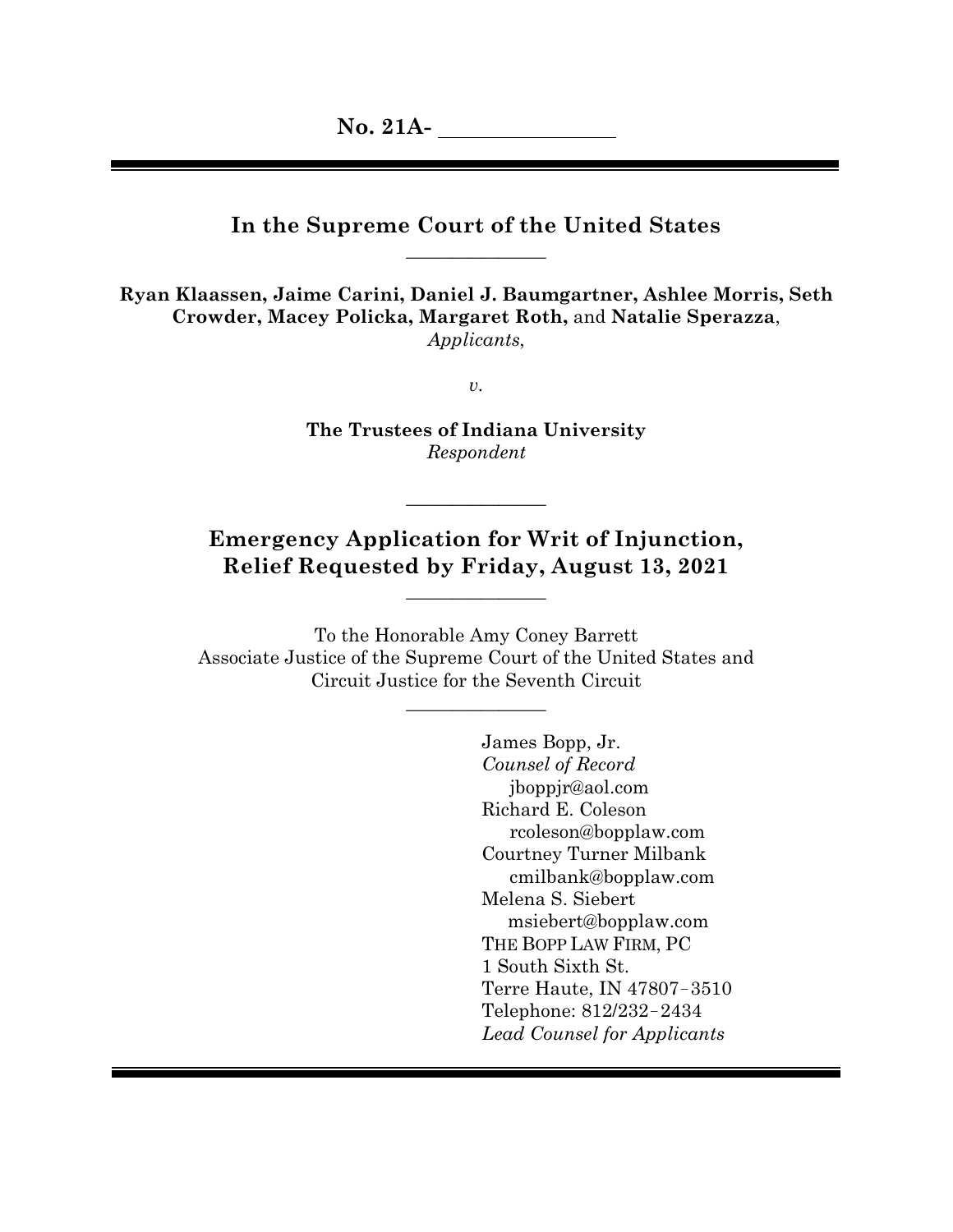# **In the Supreme Court of the United States**  $\mathcal{L}$  , we can also assume that  $\mathcal{L}$

**Ryan Klaassen, Jaime Carini, Daniel J. Baumgartner, Ashlee Morris, Seth Crowder, Macey Policka, Margaret Roth,** and **Natalie Sperazza**, *Applicants*,

*v.*

**The Trustees of Indiana University** *Respondent*

# **Emergency Application for Writ of Injunction, Relief Requested by Friday, August 13, 2021**

 $\overline{\phantom{a}}$  , where  $\overline{\phantom{a}}$ 

 $\overline{\phantom{a}}$  , where  $\overline{\phantom{a}}$ 

To the Honorable Amy Coney Barrett Associate Justice of the Supreme Court of the United States and Circuit Justice for the Seventh Circuit

 $\overline{\phantom{a}}$  , where  $\overline{\phantom{a}}$ 

James Bopp, Jr. *Counsel of Record* jboppjr@aol.com Richard E. Coleson rcoleson@bopplaw.com Courtney Turner Milbank cmilbank@bopplaw.com Melena S. Siebert msiebert@bopplaw.com THE BOPP LAW FIRM, PC 1 South Sixth St. Terre Haute, IN 47807−3510 Telephone: 812/232−2434 *Lead Counsel for Applicants*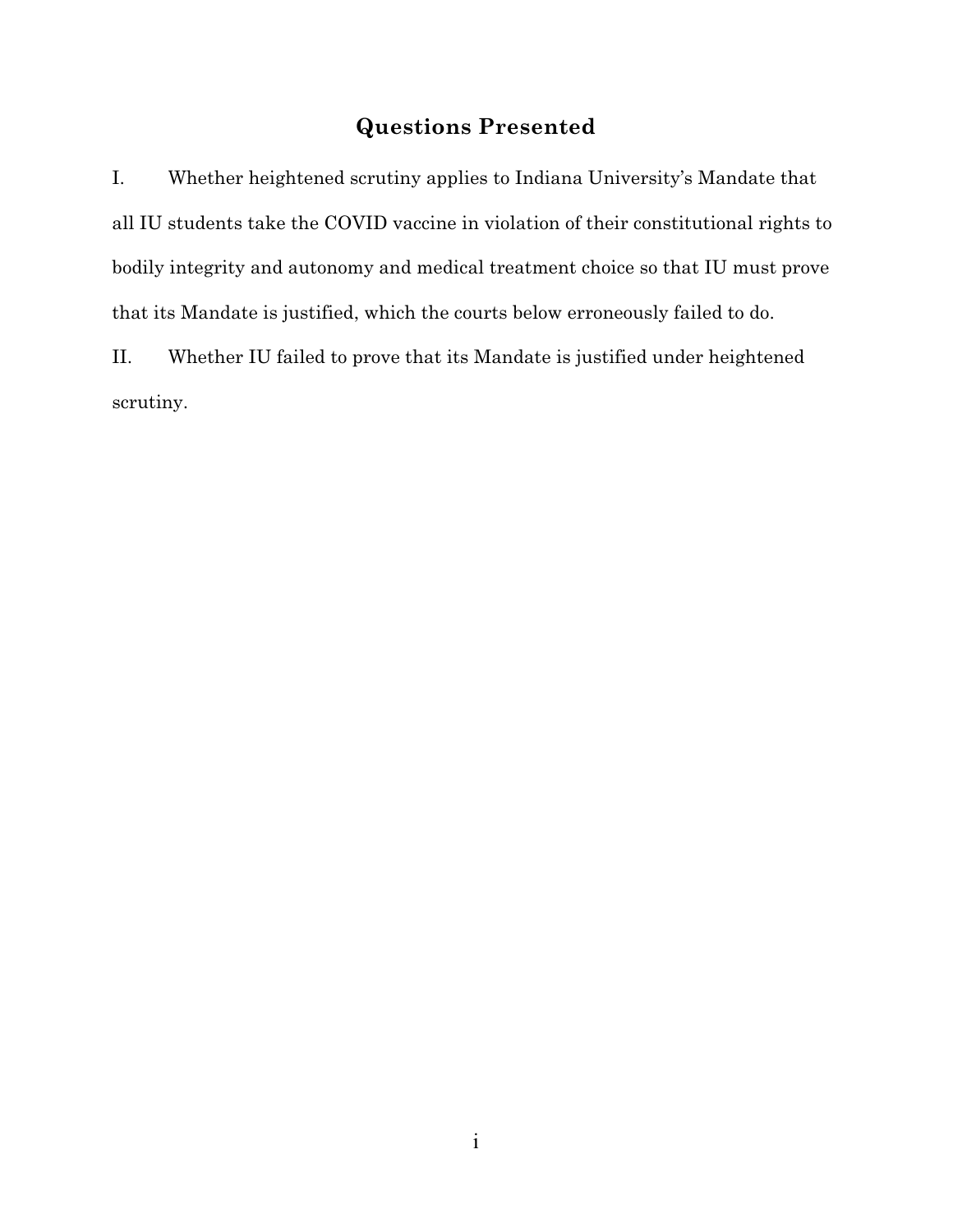# **Questions Presented**

I. Whether heightened scrutiny applies to Indiana University's Mandate that all IU students take the COVID vaccine in violation of their constitutional rights to bodily integrity and autonomy and medical treatment choice so that IU must prove that its Mandate is justified, which the courts below erroneously failed to do.

II. Whether IU failed to prove that its Mandate is justified under heightened scrutiny.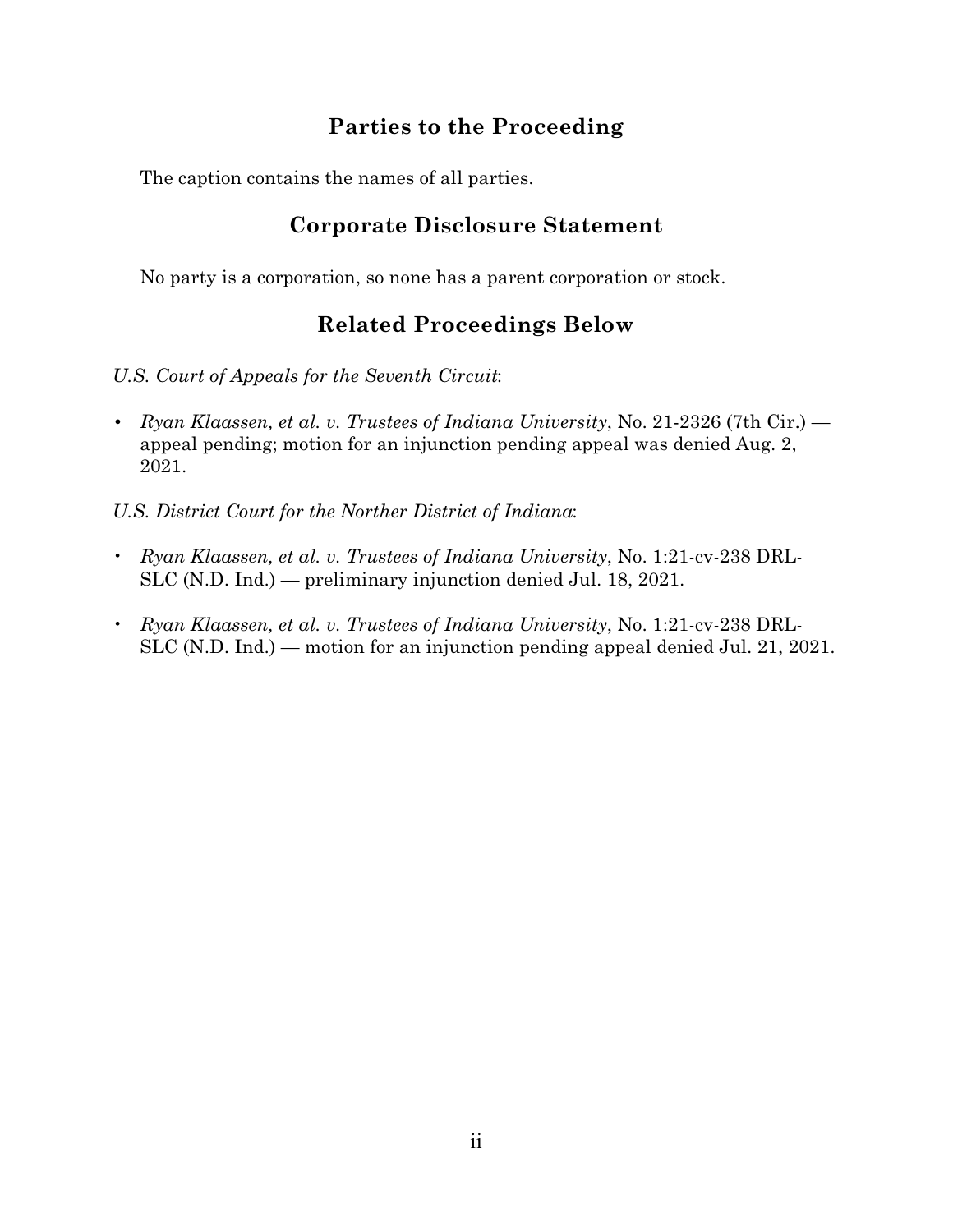# **Parties to the Proceeding**

The caption contains the names of all parties.

# **Corporate Disclosure Statement**

No party is a corporation, so none has a parent corporation or stock.

# **Related Proceedings Below**

*U.S. Court of Appeals for the Seventh Circuit*:

*• Ryan Klaassen, et al. v. Trustees of Indiana University*, No. 21-2326 (7th Cir.) appeal pending; motion for an injunction pending appeal was denied Aug. 2, 2021.

*U.S. District Court for the Norther District of Indiana*:

- *Ryan Klaassen, et al. v. Trustees of Indiana University*, No. 1:21-cv-238 DRL-SLC (N.D. Ind.) — preliminary injunction denied Jul. 18, 2021.
- *Ryan Klaassen, et al. v. Trustees of Indiana University*, No. 1:21-cv-238 DRL-SLC (N.D. Ind.) — motion for an injunction pending appeal denied Jul. 21, 2021.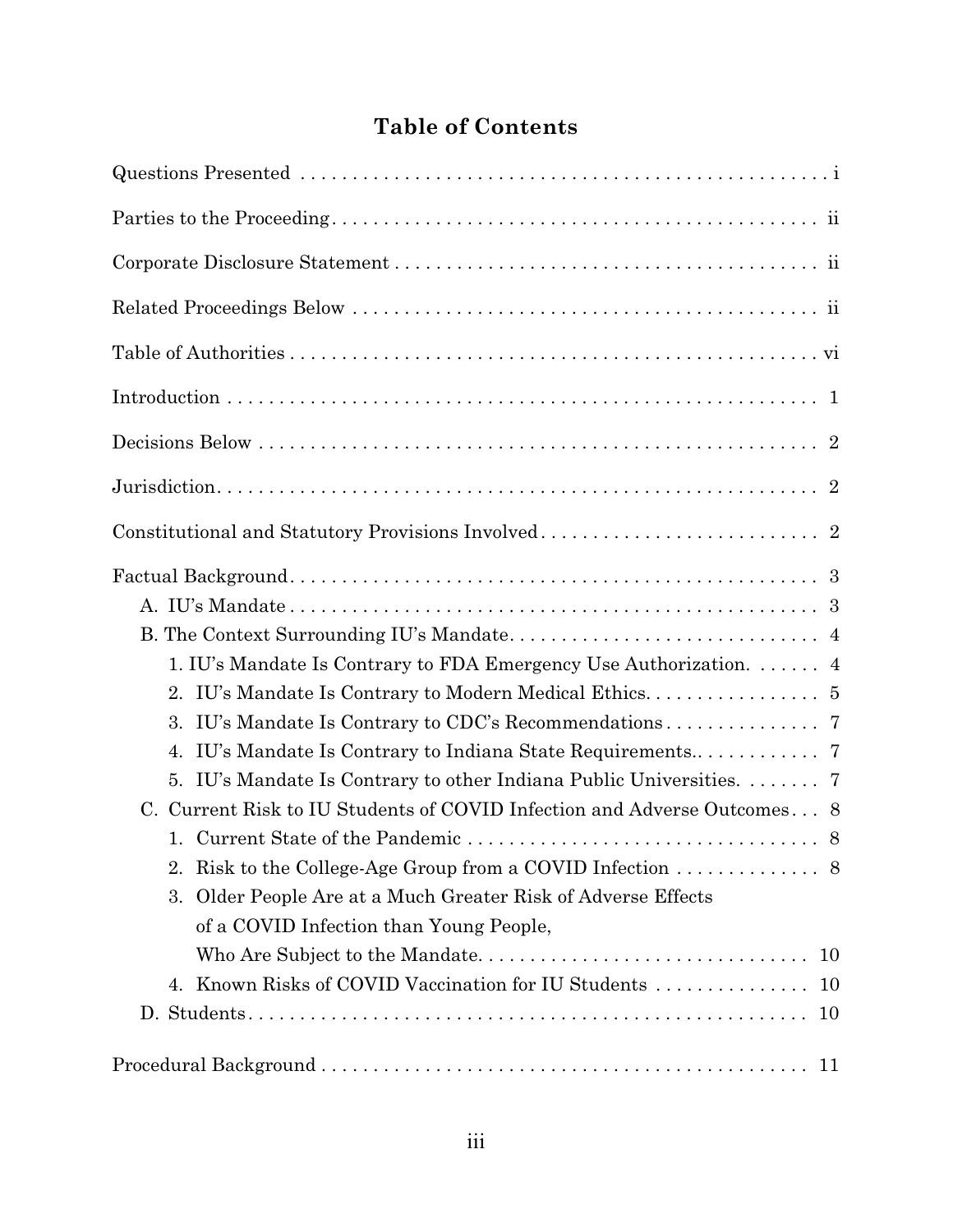# **Table of Contents**

| 1. IU's Mandate Is Contrary to FDA Emergency Use Authorization.  4<br>3.<br>4.<br>IU's Mandate Is Contrary to other Indiana Public Universities.  7<br>5.<br>C. Current Risk to IU Students of COVID Infection and Adverse Outcomes 8<br>Risk to the College-Age Group from a COVID Infection $\dots \dots \dots \dots$ 8<br>2.<br>Older People Are at a Much Greater Risk of Adverse Effects<br>3. |
|-----------------------------------------------------------------------------------------------------------------------------------------------------------------------------------------------------------------------------------------------------------------------------------------------------------------------------------------------------------------------------------------------------|
| of a COVID Infection than Young People,<br>10                                                                                                                                                                                                                                                                                                                                                       |
|                                                                                                                                                                                                                                                                                                                                                                                                     |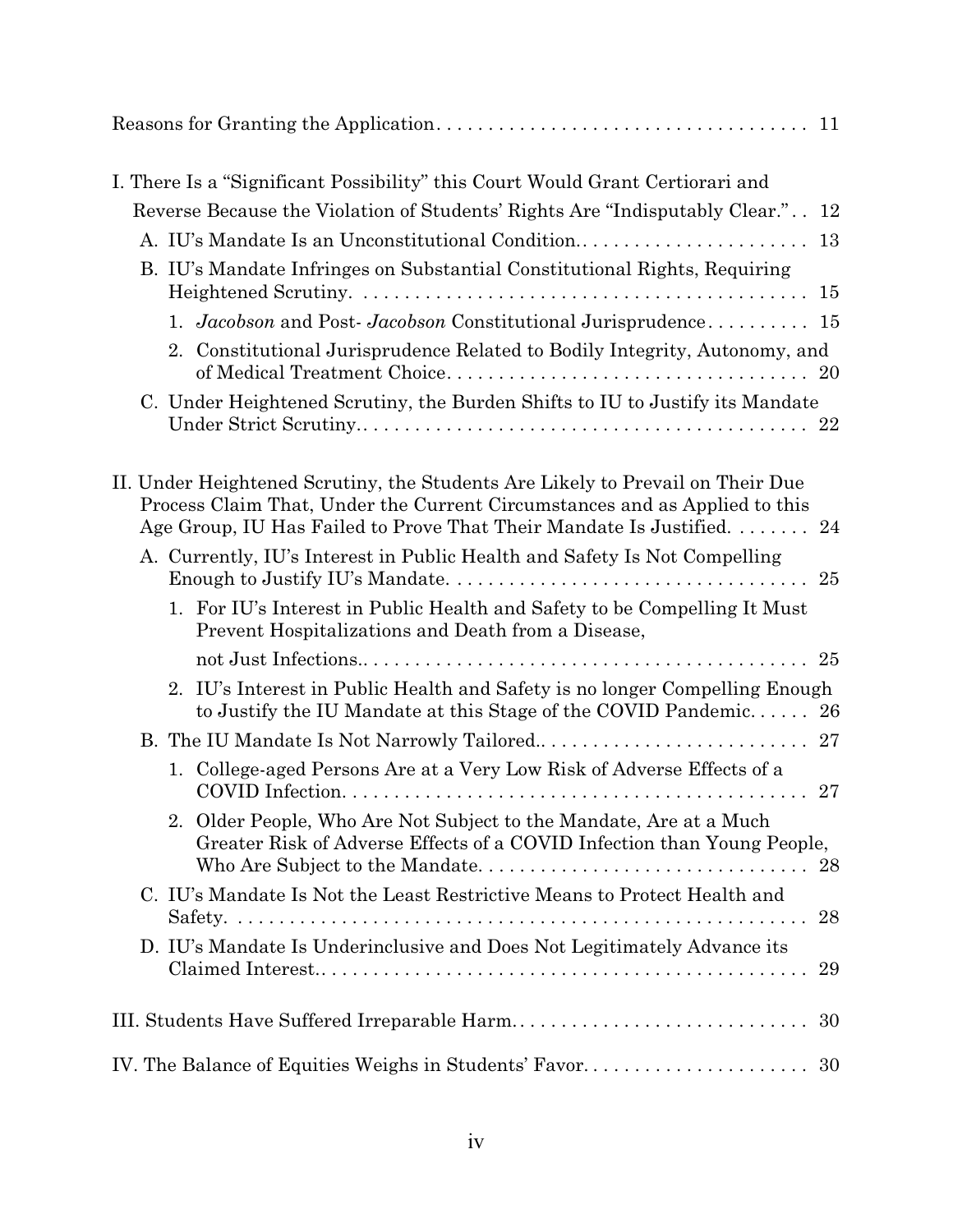| I. There Is a "Significant Possibility" this Court Would Grant Certiorari and                                                                                                                                                          |    |
|----------------------------------------------------------------------------------------------------------------------------------------------------------------------------------------------------------------------------------------|----|
| Reverse Because the Violation of Students' Rights Are "Indisputably Clear." 12                                                                                                                                                         |    |
| A. IU's Mandate Is an Unconstitutional Condition                                                                                                                                                                                       | 13 |
| B. IU's Mandate Infringes on Substantial Constitutional Rights, Requiring                                                                                                                                                              |    |
|                                                                                                                                                                                                                                        |    |
| 1. Jacobson and Post-Jacobson Constitutional Jurisprudence 15                                                                                                                                                                          |    |
| 2. Constitutional Jurisprudence Related to Bodily Integrity, Autonomy, and                                                                                                                                                             |    |
| C. Under Heightened Scrutiny, the Burden Shifts to IU to Justify its Mandate                                                                                                                                                           |    |
| II. Under Heightened Scrutiny, the Students Are Likely to Prevail on Their Due<br>Process Claim That, Under the Current Circumstances and as Applied to this<br>Age Group, IU Has Failed to Prove That Their Mandate Is Justified.  24 |    |
| A. Currently, IU's Interest in Public Health and Safety Is Not Compelling                                                                                                                                                              | 25 |
| 1. For IU's Interest in Public Health and Safety to be Compelling It Must<br>Prevent Hospitalizations and Death from a Disease,                                                                                                        |    |
|                                                                                                                                                                                                                                        |    |
| 2. IU's Interest in Public Health and Safety is no longer Compelling Enough<br>to Justify the IU Mandate at this Stage of the COVID Pandemic 26                                                                                        |    |
|                                                                                                                                                                                                                                        |    |
| 1. College-aged Persons Are at a Very Low Risk of Adverse Effects of a                                                                                                                                                                 |    |
| 2. Older People, Who Are Not Subject to the Mandate, Are at a Much<br>Greater Risk of Adverse Effects of a COVID Infection than Young People,                                                                                          |    |
| C. IU's Mandate Is Not the Least Restrictive Means to Protect Health and                                                                                                                                                               | 28 |
| D. IU's Mandate Is Underinclusive and Does Not Legitimately Advance its                                                                                                                                                                | 29 |
| III. Students Have Suffered Irreparable Harm                                                                                                                                                                                           | 30 |
| IV. The Balance of Equities Weighs in Students' Favor                                                                                                                                                                                  | 30 |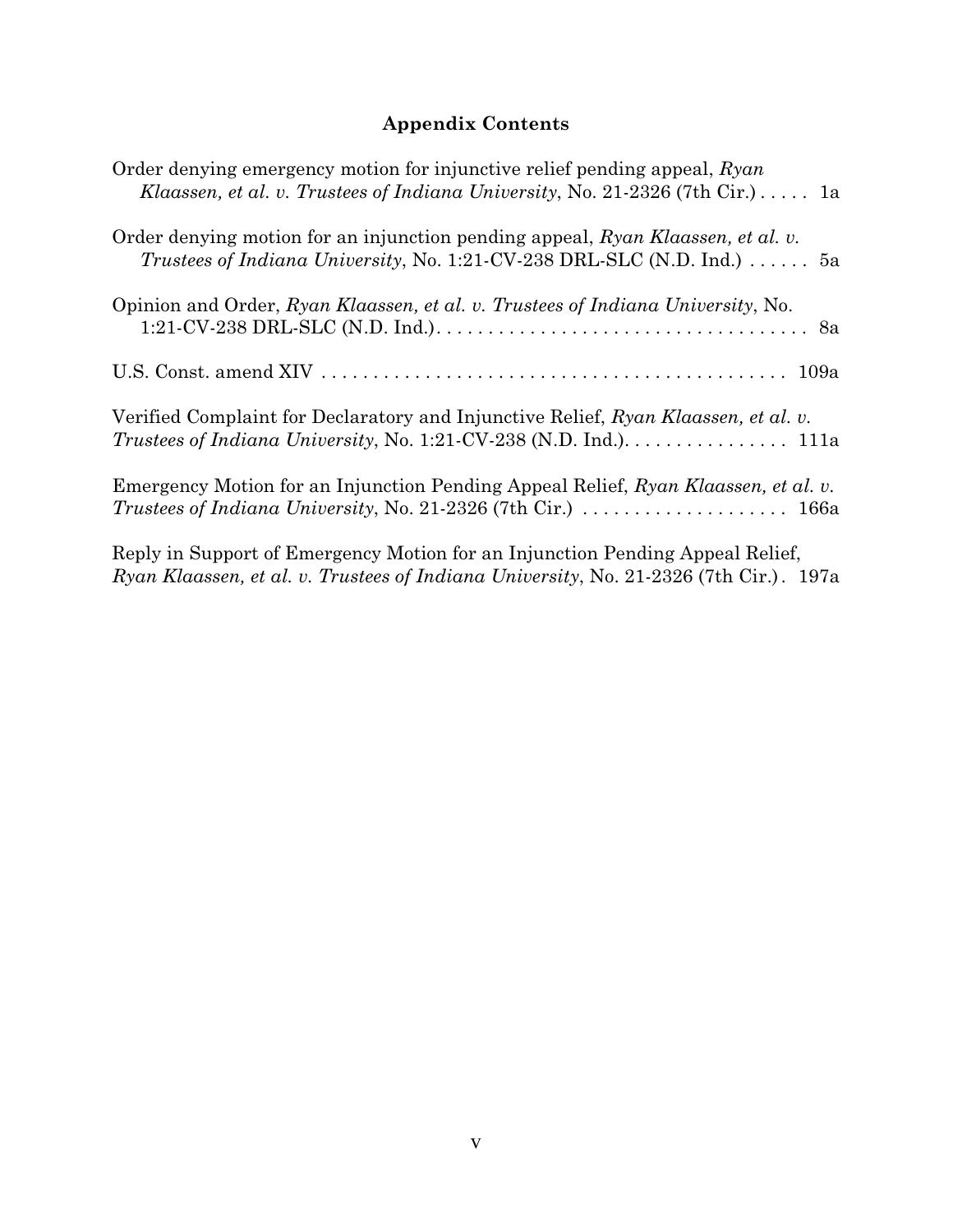# **Appendix Contents**

| Order denying emergency motion for injunctive relief pending appeal, Ryan<br>Klaassen, et al. v. Trustees of Indiana University, No. 21-2326 (7th Cir.) $\dots$ 1a      |
|-------------------------------------------------------------------------------------------------------------------------------------------------------------------------|
| Order denying motion for an injunction pending appeal, Ryan Klaassen, et al. v.<br>Trustees of Indiana University, No. 1:21-CV-238 DRL-SLC (N.D. Ind.) $\dots \dots$ 5a |
| Opinion and Order, Ryan Klaassen, et al. v. Trustees of Indiana University, No.                                                                                         |
|                                                                                                                                                                         |
| Verified Complaint for Declaratory and Injunctive Relief, Ryan Klaassen, et al. v.<br><i>Trustees of Indiana University, No. 1:21-CV-238 (N.D. Ind.).</i> 111a          |
| Emergency Motion for an Injunction Pending Appeal Relief, Ryan Klaassen, et al. v.<br>Trustees of Indiana University, No. 21-2326 (7th Cir.)  166a                      |
| Reply in Support of Emergency Motion for an Injunction Pending Appeal Relief,<br>Ryan Klaassen, et al. v. Trustees of Indiana University, No. 21-2326 (7th Cir.). 197a  |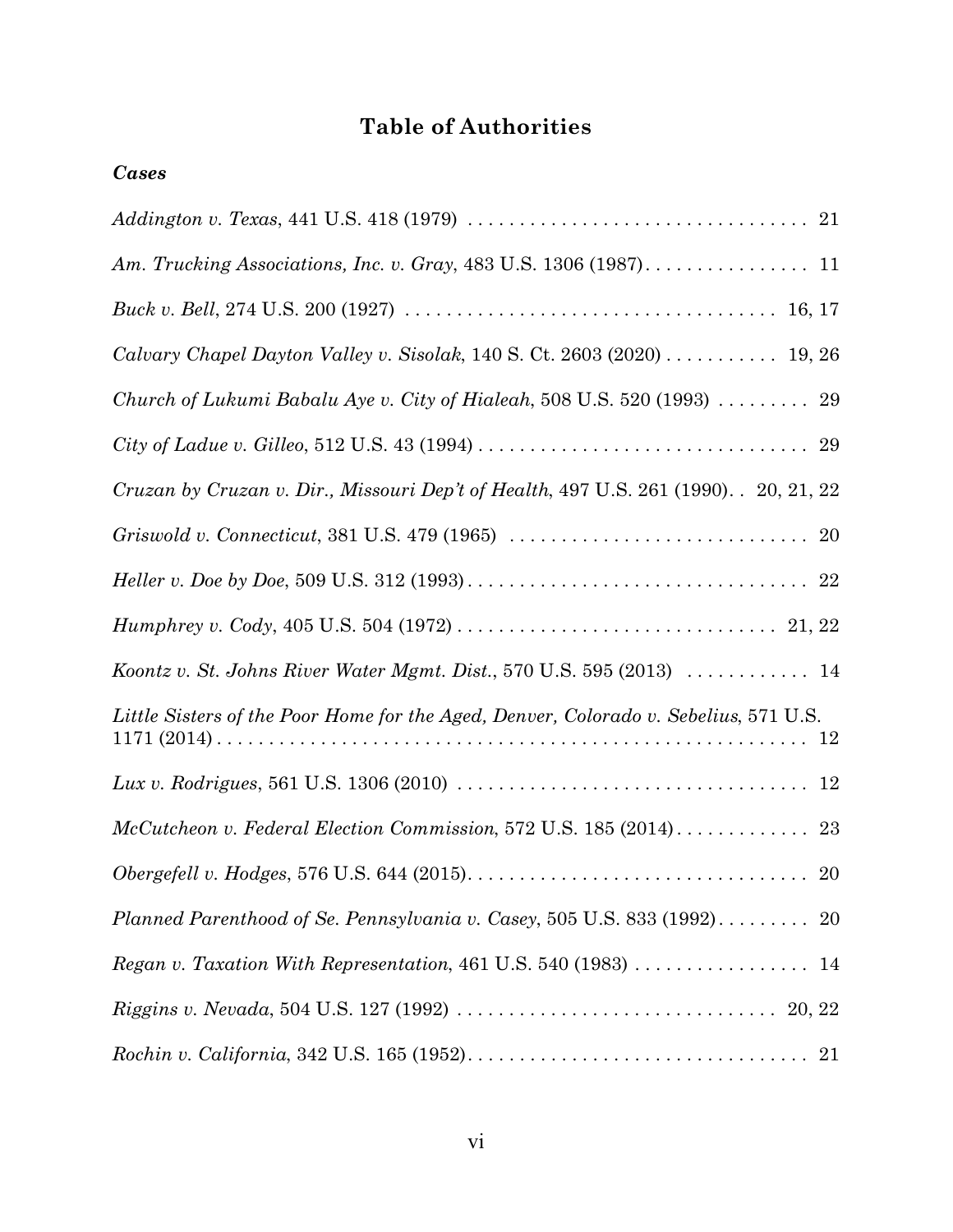# **Table of Authorities**

| <b>Cases</b>                                                                                                                        |
|-------------------------------------------------------------------------------------------------------------------------------------|
|                                                                                                                                     |
| Am. Trucking Associations, Inc. v. Gray, 483 U.S. 1306 (1987). 11                                                                   |
|                                                                                                                                     |
| Calvary Chapel Dayton Valley v. Sisolak, 140 S. Ct. 2603 (2020) $\dots \dots \dots$ 19, 26                                          |
| Church of Lukumi Babalu Aye v. City of Hialeah, 508 U.S. 520 (1993)  29                                                             |
|                                                                                                                                     |
| Cruzan by Cruzan v. Dir., Missouri Dep't of Health, 497 U.S. 261 (1990). . 20, 21, 22                                               |
| Griswold v. Connecticut, 381 U.S. 479 (1965) $\ldots \ldots \ldots \ldots \ldots \ldots \ldots \ldots \ldots$ 20                    |
|                                                                                                                                     |
|                                                                                                                                     |
| Koontz v. St. Johns River Water Mgmt. Dist., 570 U.S. 595 (2013) $\ldots \ldots \ldots$ 14                                          |
| Little Sisters of the Poor Home for the Aged, Denver, Colorado v. Sebelius, 571 U.S.                                                |
| Lux v. Rodrigues, 561 U.S. 1306 (2010) $\ldots \ldots \ldots \ldots \ldots \ldots \ldots \ldots \ldots \ldots \ldots \ldots \ldots$ |
| $McCut chosen$ v. Federal Election Commission, 572 U.S. 185 (2014)<br>23                                                            |
|                                                                                                                                     |
| Planned Parenthood of Se. Pennsylvania v. Casey, 505 U.S. 833 (1992) 20                                                             |
|                                                                                                                                     |
|                                                                                                                                     |
|                                                                                                                                     |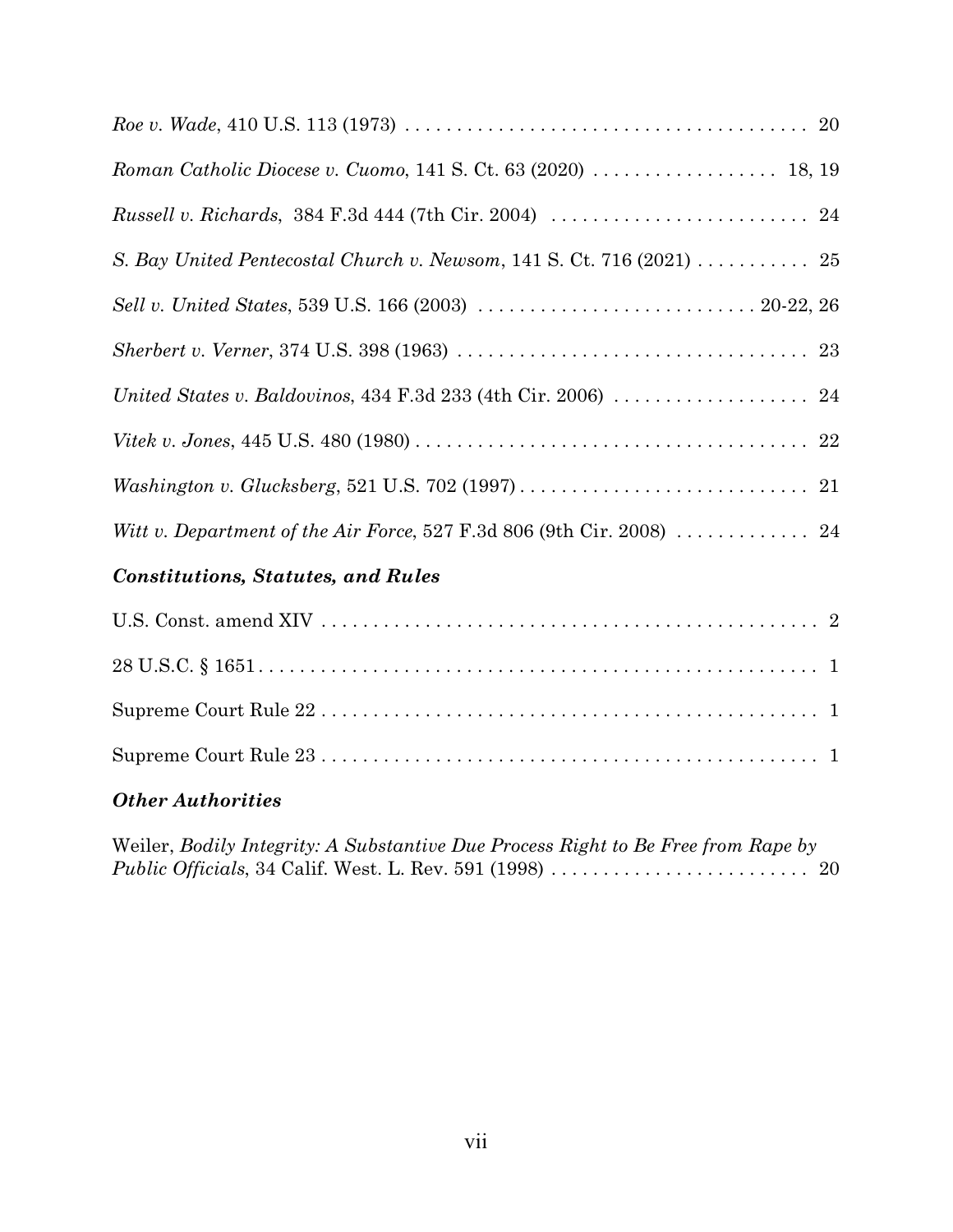| S. Bay United Pentecostal Church v. Newsom, 141 S. Ct. 716 (2021) 25                        |  |
|---------------------------------------------------------------------------------------------|--|
|                                                                                             |  |
|                                                                                             |  |
|                                                                                             |  |
|                                                                                             |  |
|                                                                                             |  |
| Witt v. Department of the Air Force, 527 F.3d 806 (9th Cir. 2008) $\ldots \ldots \ldots$ 24 |  |
| Constitutions Statutes and Dulse                                                            |  |

# *Constitutions, Statutes, and Rules*

# *Other Authorities*

Weiler, *Bodily Integrity: A Substantive Due Process Right to Be Free from Rape by Public Officials*, 34 Calif. West. L. Rev. 591 (1998) . . . . . . . . . . . . . . . . . . . . . . . . . 20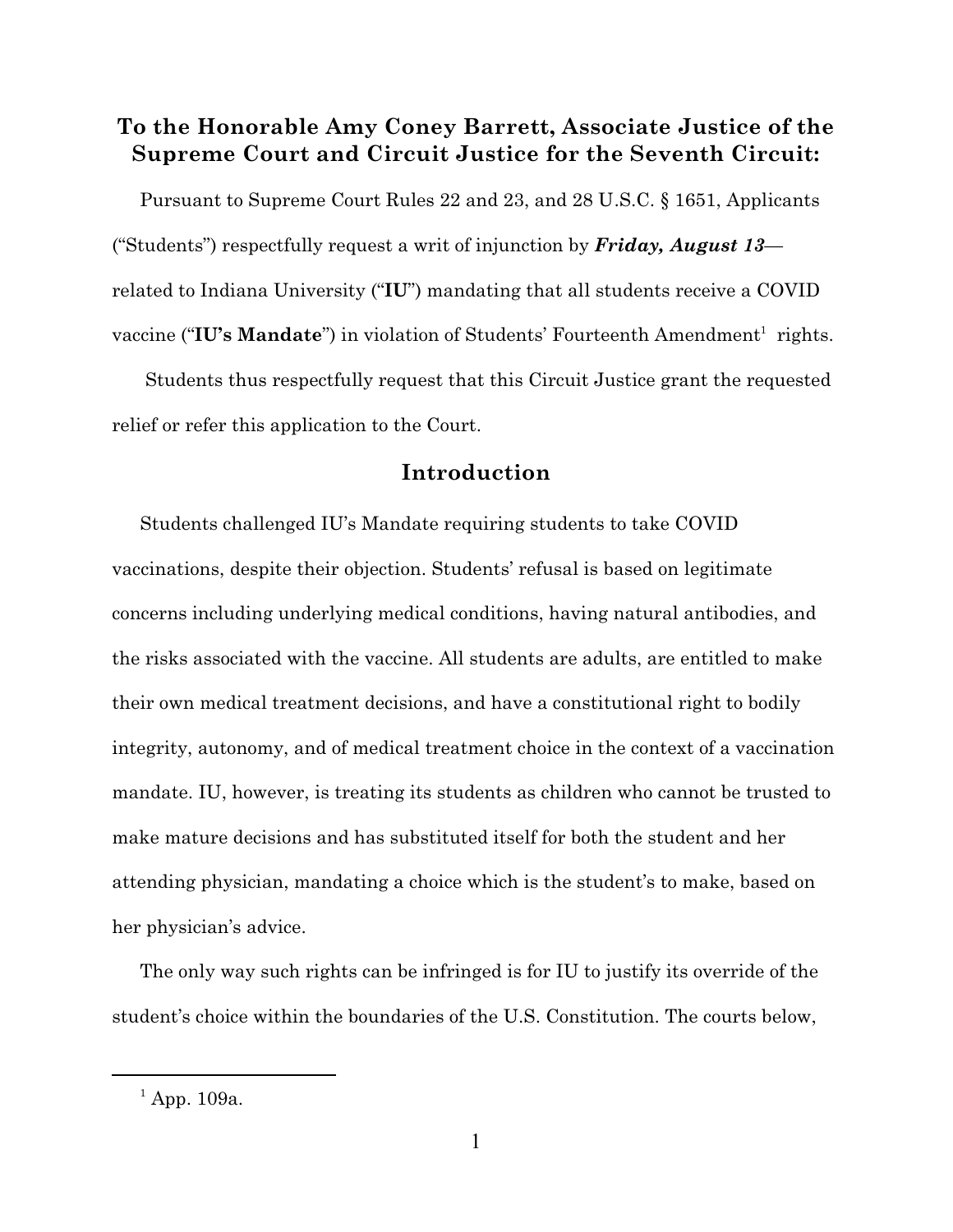# **To the Honorable Amy Coney Barrett, Associate Justice of the Supreme Court and Circuit Justice for the Seventh Circuit:**

Pursuant to Supreme Court Rules 22 and 23, and 28 U.S.C. § 1651, Applicants ("Students") respectfully request a writ of injunction by *Friday, August 13* related to Indiana University ("**IU**") mandating that all students receive a COVID vaccine ("IU's Mandate") in violation of Students' Fourteenth Amendment<sup>1</sup> rights.

 Students thus respectfully request that this Circuit Justice grant the requested relief or refer this application to the Court.

# **Introduction**

Students challenged IU's Mandate requiring students to take COVID vaccinations, despite their objection. Students' refusal is based on legitimate concerns including underlying medical conditions, having natural antibodies, and the risks associated with the vaccine. All students are adults, are entitled to make their own medical treatment decisions, and have a constitutional right to bodily integrity, autonomy, and of medical treatment choice in the context of a vaccination mandate. IU, however, is treating its students as children who cannot be trusted to make mature decisions and has substituted itself for both the student and her attending physician, mandating a choice which is the student's to make, based on her physician's advice.

The only way such rights can be infringed is for IU to justify its override of the student's choice within the boundaries of the U.S. Constitution. The courts below,

 $^{1}$  App. 109a.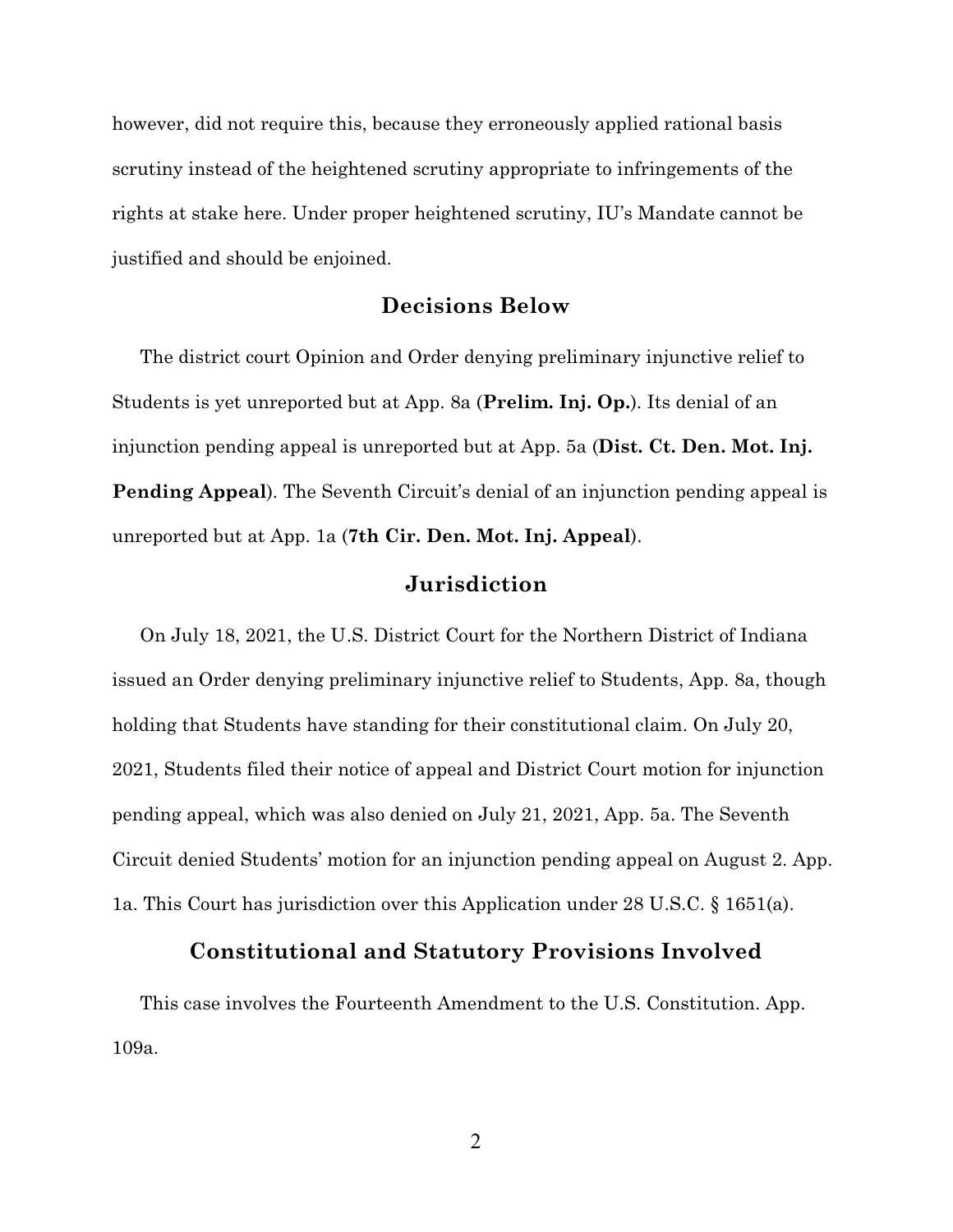however, did not require this, because they erroneously applied rational basis scrutiny instead of the heightened scrutiny appropriate to infringements of the rights at stake here. Under proper heightened scrutiny, IU's Mandate cannot be justified and should be enjoined.

## **Decisions Below**

The district court Opinion and Order denying preliminary injunctive relief to Students is yet unreported but at App. 8a (**Prelim. Inj. Op.**). Its denial of an injunction pending appeal is unreported but at App. 5a (**Dist. Ct. Den. Mot. Inj. Pending Appeal**). The Seventh Circuit's denial of an injunction pending appeal is unreported but at App. 1a (**7th Cir. Den. Mot. Inj. Appeal**).

## **Jurisdiction**

On July 18, 2021, the U.S. District Court for the Northern District of Indiana issued an Order denying preliminary injunctive relief to Students, App. 8a, though holding that Students have standing for their constitutional claim. On July 20, 2021, Students filed their notice of appeal and District Court motion for injunction pending appeal, which was also denied on July 21, 2021, App. 5a. The Seventh Circuit denied Students' motion for an injunction pending appeal on August 2. App. 1a. This Court has jurisdiction over this Application under 28 U.S.C. § 1651(a).

## **Constitutional and Statutory Provisions Involved**

This case involves the Fourteenth Amendment to the U.S. Constitution. App. 109a.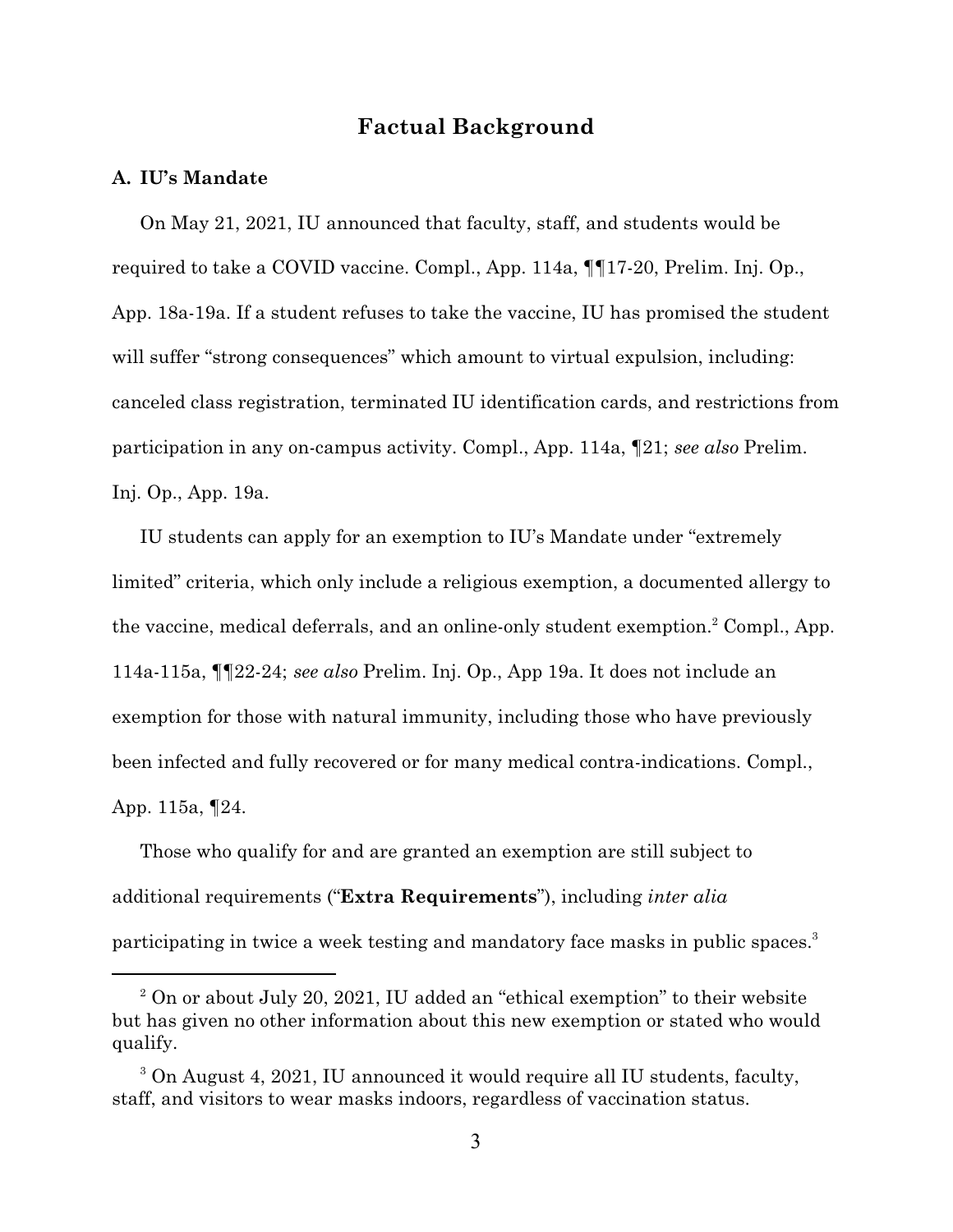# **Factual Background**

#### **A. IU's Mandate**

On May 21, 2021, IU announced that faculty, staff, and students would be required to take a COVID vaccine. Compl., App. 114a, ¶¶17-20, Prelim. Inj. Op., App. 18a-19a. If a student refuses to take the vaccine, IU has promised the student will suffer "strong consequences" which amount to virtual expulsion, including: canceled class registration, terminated IU identification cards, and restrictions from participation in any on-campus activity. Compl., App. 114a, ¶21; *see also* Prelim. Inj. Op., App. 19a.

IU students can apply for an exemption to IU's Mandate under "extremely limited" criteria, which only include a religious exemption, a documented allergy to the vaccine, medical deferrals, and an online-only student exemption.<sup>2</sup> Compl., App. 114a-115a, ¶¶22-24; *see also* Prelim. Inj. Op., App 19a. It does not include an exemption for those with natural immunity, including those who have previously been infected and fully recovered or for many medical contra-indications. Compl., App. 115a, ¶24.

Those who qualify for and are granted an exemption are still subject to additional requirements ("**Extra Requirements**"), including *inter alia* participating in twice a week testing and mandatory face masks in public spaces.<sup>3</sup>

 $2^2$  On or about July 20, 2021, IU added an "ethical exemption" to their website but has given no other information about this new exemption or stated who would qualify.

<sup>&</sup>lt;sup>3</sup> On August 4, 2021, IU announced it would require all IU students, faculty, staff, and visitors to wear masks indoors, regardless of vaccination status.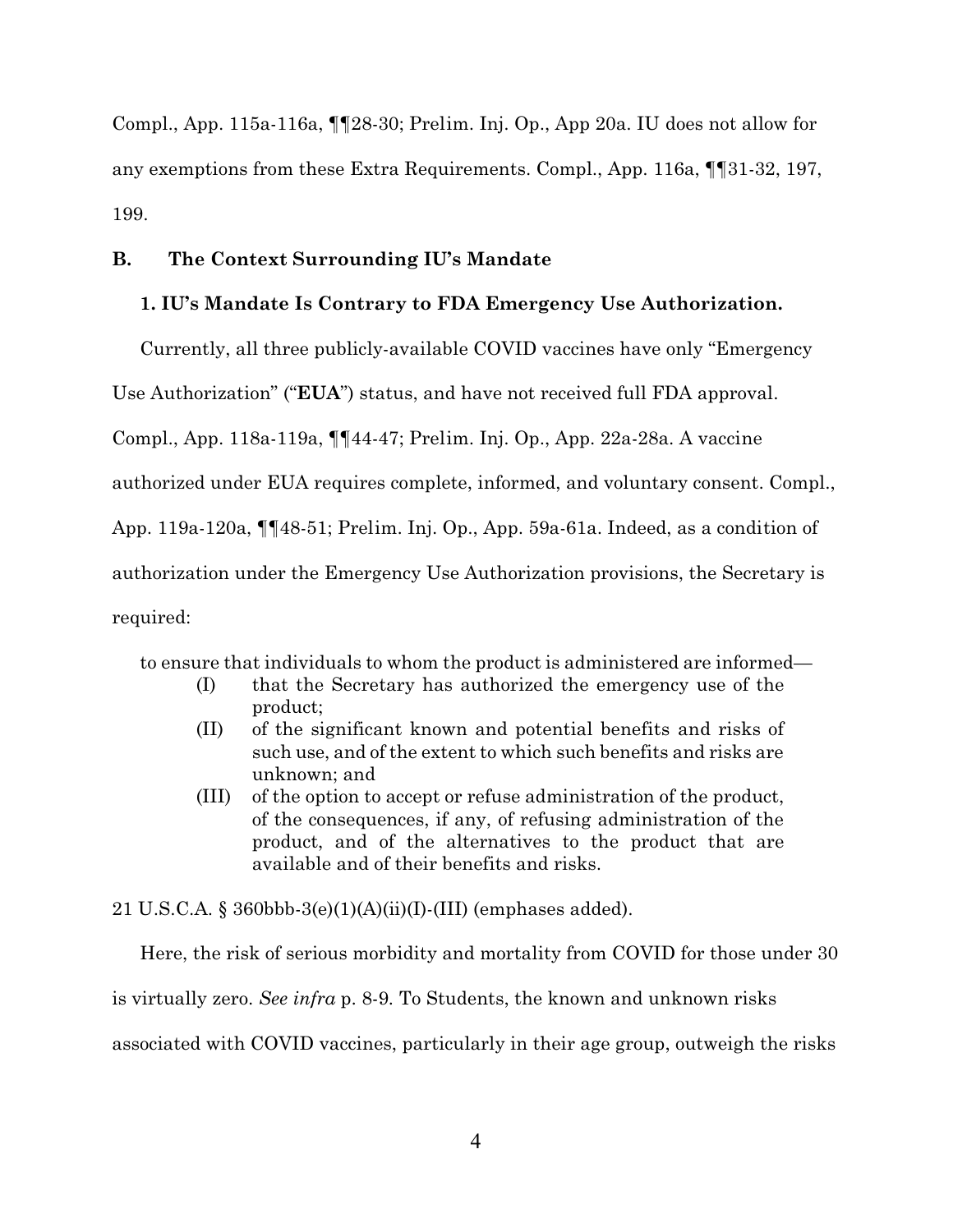Compl., App. 115a-116a, ¶¶28-30; Prelim. Inj. Op., App 20a. IU does not allow for any exemptions from these Extra Requirements. Compl., App. 116a, ¶¶31-32, 197, 199.

#### **B. The Context Surrounding IU's Mandate**

#### **1. IU's Mandate Is Contrary to FDA Emergency Use Authorization.**

Currently, all three publicly-available COVID vaccines have only "Emergency

Use Authorization" ("**EUA**") status, and have not received full FDA approval.

Compl., App. 118a-119a, ¶¶44-47; Prelim. Inj. Op., App. 22a-28a. A vaccine

authorized under EUA requires complete, informed, and voluntary consent. Compl.,

App. 119a-120a, ¶¶48-51; Prelim. Inj. Op., App. 59a-61a. Indeed, as a condition of

authorization under the Emergency Use Authorization provisions, the Secretary is

required:

to ensure that individuals to whom the product is administered are informed—

- (I) that the Secretary has authorized the emergency use of the product;
- (II) of the significant known and potential benefits and risks of such use, and of the extent to which such benefits and risks are unknown; and
- (III) of the option to accept or refuse administration of the product, of the consequences, if any, of refusing administration of the product, and of the alternatives to the product that are available and of their benefits and risks.

21 U.S.C.A. § 360bbb-3(e)(1)(A)(ii)(I)-(III) (emphases added).

Here, the risk of serious morbidity and mortality from COVID for those under 30 is virtually zero. *See infra* p. 8-9*.* To Students, the known and unknown risks associated with COVID vaccines, particularly in their age group, outweigh the risks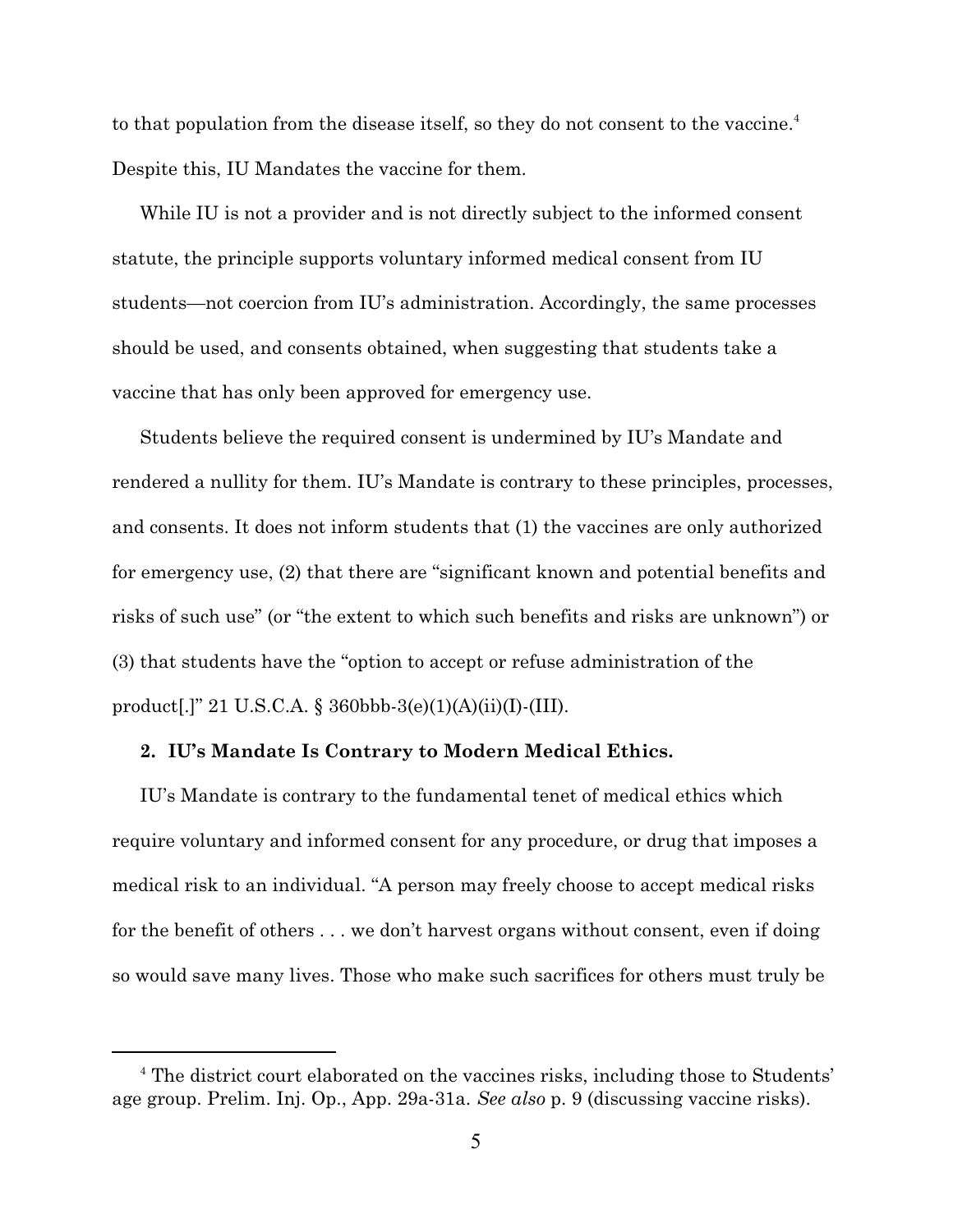to that population from the disease itself, so they do not consent to the vaccine.<sup>4</sup> Despite this, IU Mandates the vaccine for them.

While IU is not a provider and is not directly subject to the informed consent statute, the principle supports voluntary informed medical consent from IU students—not coercion from IU's administration. Accordingly, the same processes should be used, and consents obtained, when suggesting that students take a vaccine that has only been approved for emergency use.

Students believe the required consent is undermined by IU's Mandate and rendered a nullity for them. IU's Mandate is contrary to these principles, processes, and consents. It does not inform students that (1) the vaccines are only authorized for emergency use, (2) that there are "significant known and potential benefits and risks of such use" (or "the extent to which such benefits and risks are unknown") or (3) that students have the "option to accept or refuse administration of the product[.]" 21 U.S.C.A. § 360bbb-3(e)(1)(A)(ii)(I)-(III).

#### **2. IU's Mandate Is Contrary to Modern Medical Ethics.**

IU's Mandate is contrary to the fundamental tenet of medical ethics which require voluntary and informed consent for any procedure, or drug that imposes a medical risk to an individual. "A person may freely choose to accept medical risks for the benefit of others . . . we don't harvest organs without consent, even if doing so would save many lives. Those who make such sacrifices for others must truly be

<sup>&</sup>lt;sup>4</sup> The district court elaborated on the vaccines risks, including those to Students' age group. Prelim. Inj. Op., App. 29a-31a. *See also* p. 9 (discussing vaccine risks).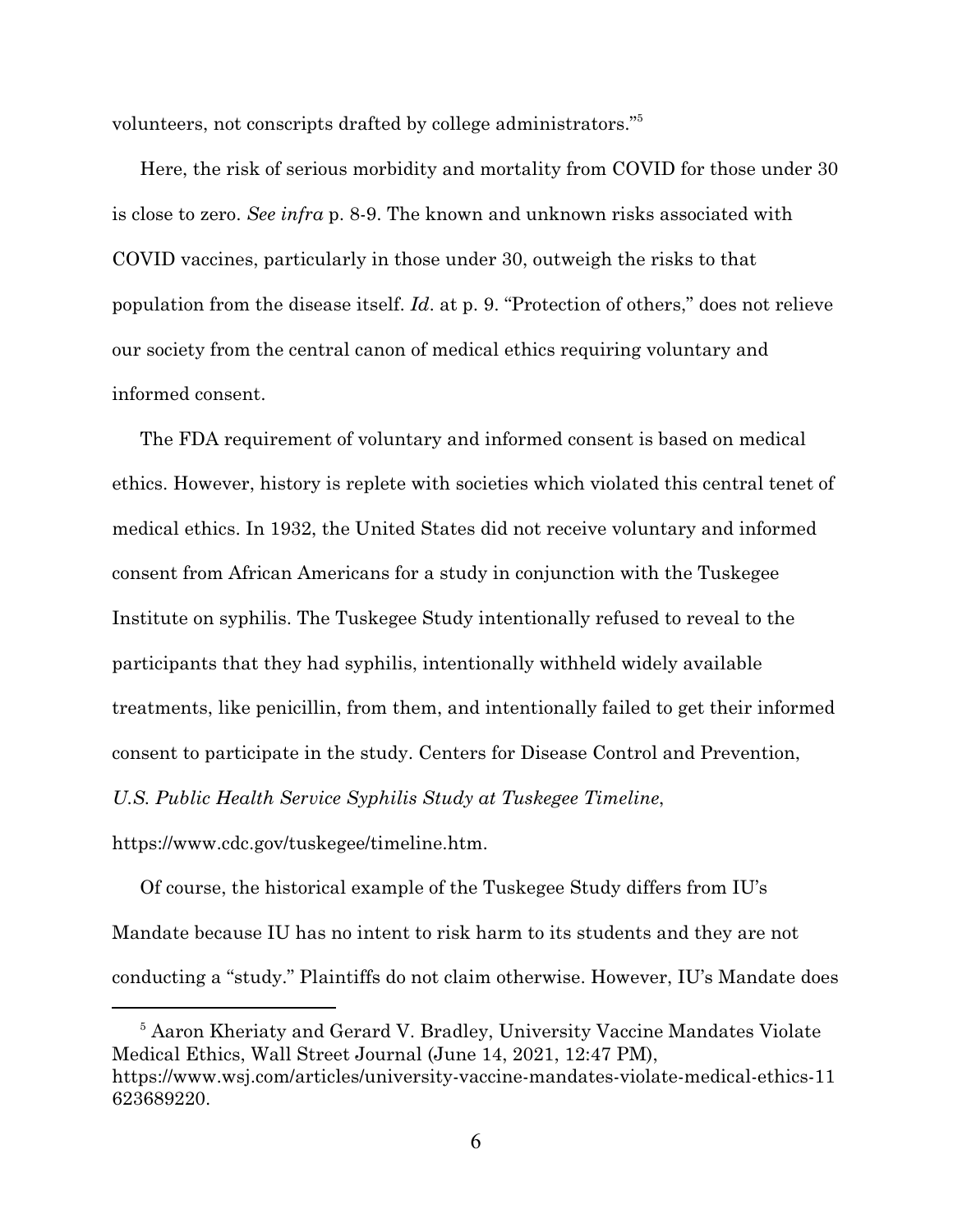volunteers, not conscripts drafted by college administrators."<sup>5</sup>

Here, the risk of serious morbidity and mortality from COVID for those under 30 is close to zero. *See infra* p. 8-9. The known and unknown risks associated with COVID vaccines, particularly in those under 30, outweigh the risks to that population from the disease itself. *Id*. at p. 9. "Protection of others," does not relieve our society from the central canon of medical ethics requiring voluntary and informed consent.

The FDA requirement of voluntary and informed consent is based on medical ethics. However, history is replete with societies which violated this central tenet of medical ethics. In 1932, the United States did not receive voluntary and informed consent from African Americans for a study in conjunction with the Tuskegee Institute on syphilis. The Tuskegee Study intentionally refused to reveal to the participants that they had syphilis, intentionally withheld widely available treatments, like penicillin, from them, and intentionally failed to get their informed consent to participate in the study. Centers for Disease Control and Prevention, *U.S. Public Health Service Syphilis Study at Tuskegee Timeline*,

https://www.cdc.gov/tuskegee/timeline.htm.

Of course, the historical example of the Tuskegee Study differs from IU's Mandate because IU has no intent to risk harm to its students and they are not conducting a "study." Plaintiffs do not claim otherwise. However, IU's Mandate does

<sup>&</sup>lt;sup>5</sup> Aaron Kheriaty and Gerard V. Bradley, University Vaccine Mandates Violate Medical Ethics, Wall Street Journal (June 14, 2021, 12:47 PM), https://www.wsj.com/articles/university-vaccine-mandates-violate-medical-ethics-11 623689220.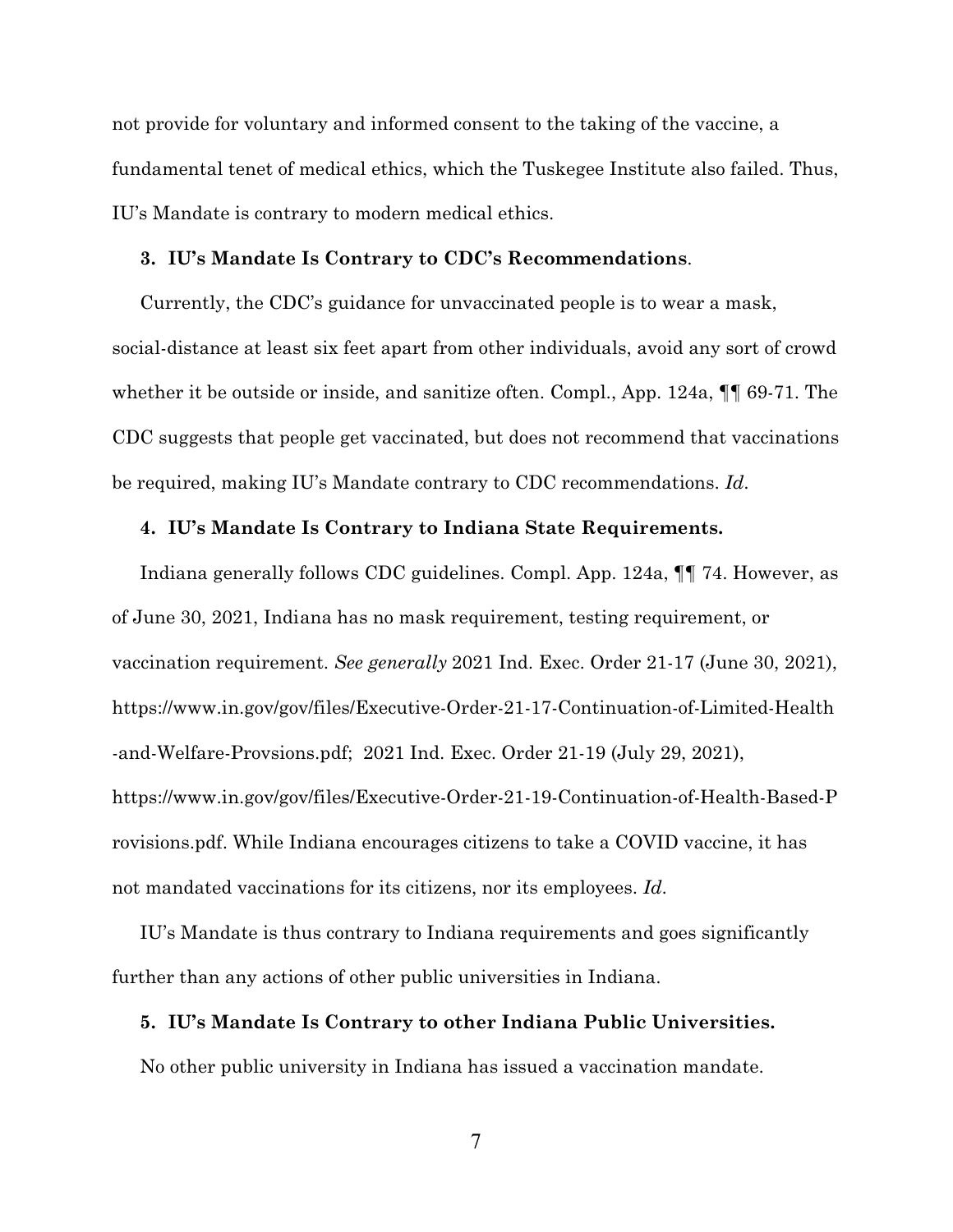not provide for voluntary and informed consent to the taking of the vaccine, a fundamental tenet of medical ethics, which the Tuskegee Institute also failed. Thus, IU's Mandate is contrary to modern medical ethics.

#### **3. IU's Mandate Is Contrary to CDC's Recommendations**.

Currently, the CDC's guidance for unvaccinated people is to wear a mask, social-distance at least six feet apart from other individuals, avoid any sort of crowd whether it be outside or inside, and sanitize often. Compl., App. 124a, ¶¶ 69-71. The CDC suggests that people get vaccinated, but does not recommend that vaccinations be required, making IU's Mandate contrary to CDC recommendations. *Id*.

#### **4. IU's Mandate Is Contrary to Indiana State Requirements.**

Indiana generally follows CDC guidelines. Compl. App. 124a, ¶¶ 74. However, as of June 30, 2021, Indiana has no mask requirement, testing requirement, or vaccination requirement. *See generally* 2021 Ind. Exec. Order 21-17 (June 30, 2021), https://www.in.gov/gov/files/Executive-Order-21-17-Continuation-of-Limited-Health -and-Welfare-Provsions.pdf; 2021 Ind. Exec. Order 21-19 (July 29, 2021), https://www.in.gov/gov/files/Executive-Order-21-19-Continuation-of-Health-Based-P rovisions.pdf. While Indiana encourages citizens to take a COVID vaccine, it has not mandated vaccinations for its citizens, nor its employees. *Id*.

IU's Mandate is thus contrary to Indiana requirements and goes significantly further than any actions of other public universities in Indiana.

#### **5. IU's Mandate Is Contrary to other Indiana Public Universities.**

No other public university in Indiana has issued a vaccination mandate.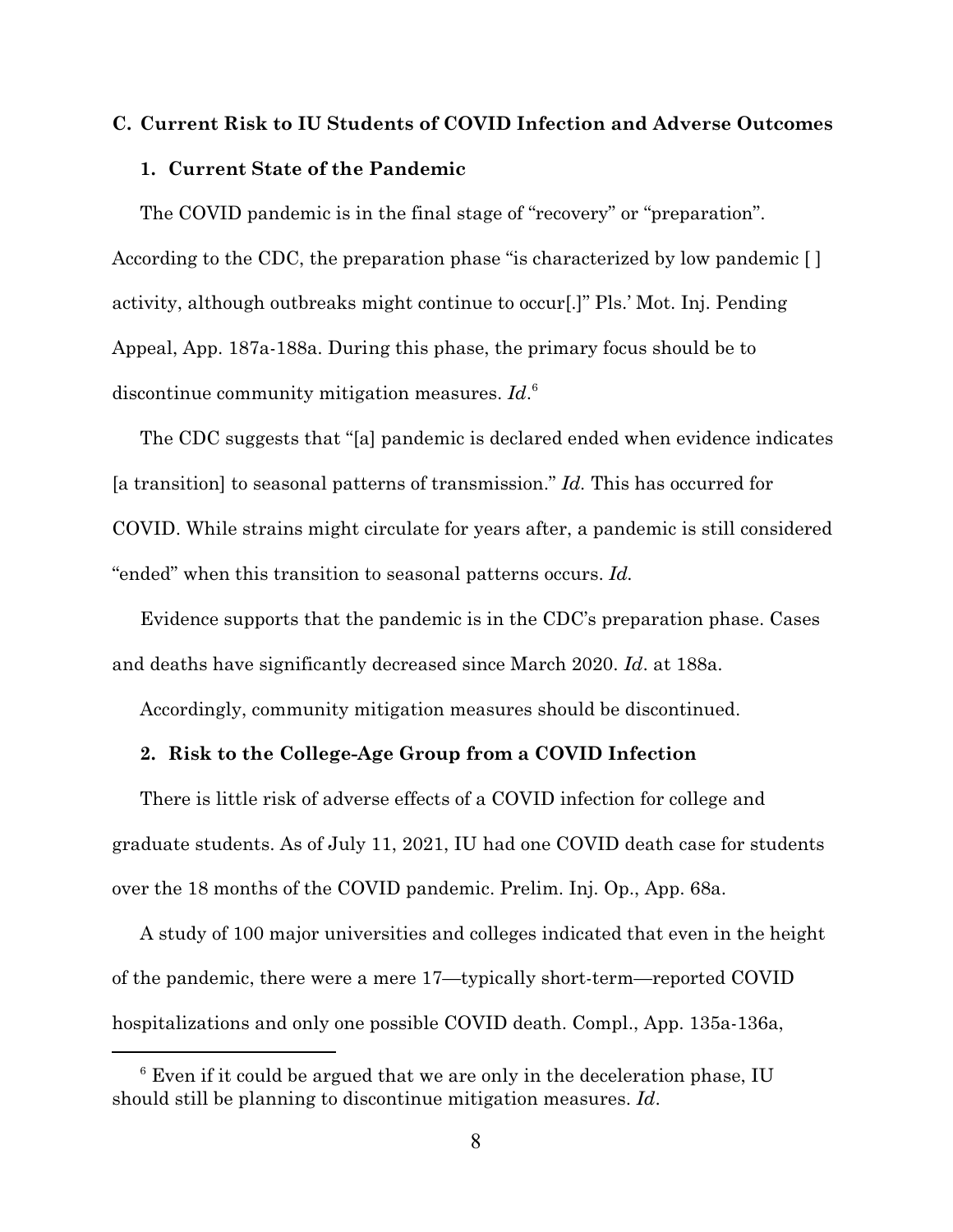### **C. Current Risk to IU Students of COVID Infection and Adverse Outcomes**

#### **1. Current State of the Pandemic**

The COVID pandemic is in the final stage of "recovery" or "preparation". According to the CDC, the preparation phase "is characterized by low pandemic [ ] activity, although outbreaks might continue to occur[.]" Pls.' Mot. Inj. Pending Appeal, App. 187a-188a. During this phase, the primary focus should be to discontinue community mitigation measures. *Id*. 6

The CDC suggests that "[a] pandemic is declared ended when evidence indicates [a transition] to seasonal patterns of transmission." *Id.* This has occurred for COVID. While strains might circulate for years after, a pandemic is still considered "ended" when this transition to seasonal patterns occurs. *Id.* 

Evidence supports that the pandemic is in the CDC's preparation phase. Cases and deaths have significantly decreased since March 2020. *Id*. at 188a.

Accordingly, community mitigation measures should be discontinued.

#### **2. Risk to the College-Age Group from a COVID Infection**

There is little risk of adverse effects of a COVID infection for college and graduate students. As of July 11, 2021, IU had one COVID death case for students over the 18 months of the COVID pandemic. Prelim. Inj. Op., App. 68a.

A study of 100 major universities and colleges indicated that even in the height of the pandemic, there were a mere 17—typically short-term—reported COVID hospitalizations and only one possible COVID death. Compl., App. 135a-136a,

<sup>&</sup>lt;sup>6</sup> Even if it could be argued that we are only in the deceleration phase, IU should still be planning to discontinue mitigation measures. *Id*.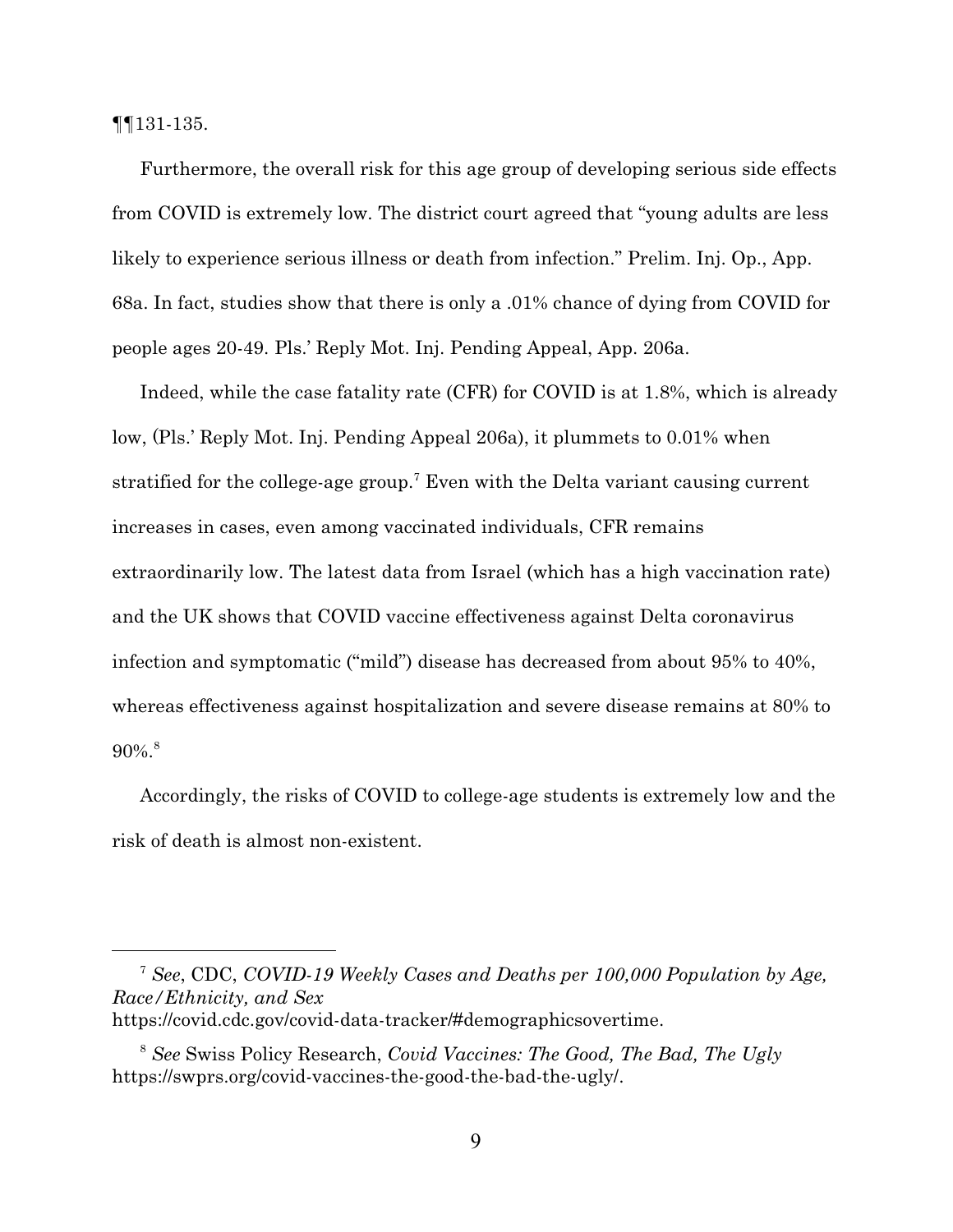¶¶131-135.

Furthermore, the overall risk for this age group of developing serious side effects from COVID is extremely low. The district court agreed that "young adults are less likely to experience serious illness or death from infection." Prelim. Inj. Op., App. 68a. In fact, studies show that there is only a .01% chance of dying from COVID for people ages 20-49. Pls.' Reply Mot. Inj. Pending Appeal, App. 206a.

Indeed, while the case fatality rate (CFR) for COVID is at 1.8%, which is already low, (Pls.' Reply Mot. Inj. Pending Appeal 206a), it plummets to 0.01% when stratified for the college-age group.<sup>7</sup> Even with the Delta variant causing current increases in cases, even among vaccinated individuals, CFR remains extraordinarily low. The latest data from Israel (which has a high vaccination rate) and the UK shows that COVID vaccine effectiveness against Delta coronavirus infection and symptomatic ("mild") disease has decreased from about 95% to 40%, whereas effectiveness against hospitalization and severe disease remains at 80% to  $90\%$ <sup>8</sup>

Accordingly, the risks of COVID to college-age students is extremely low and the risk of death is almost non-existent.

<sup>7</sup> *See*, CDC, *COVID-19 Weekly Cases and Deaths per 100,000 Population by Age, Race/Ethnicity, and Sex* https://covid.cdc.gov/covid-data-tracker/#demographicsovertime.

<sup>8</sup> *See* Swiss Policy Research, *Covid Vaccines: The Good, The Bad, The Ugly* https://swprs.org/covid-vaccines-the-good-the-bad-the-ugly/.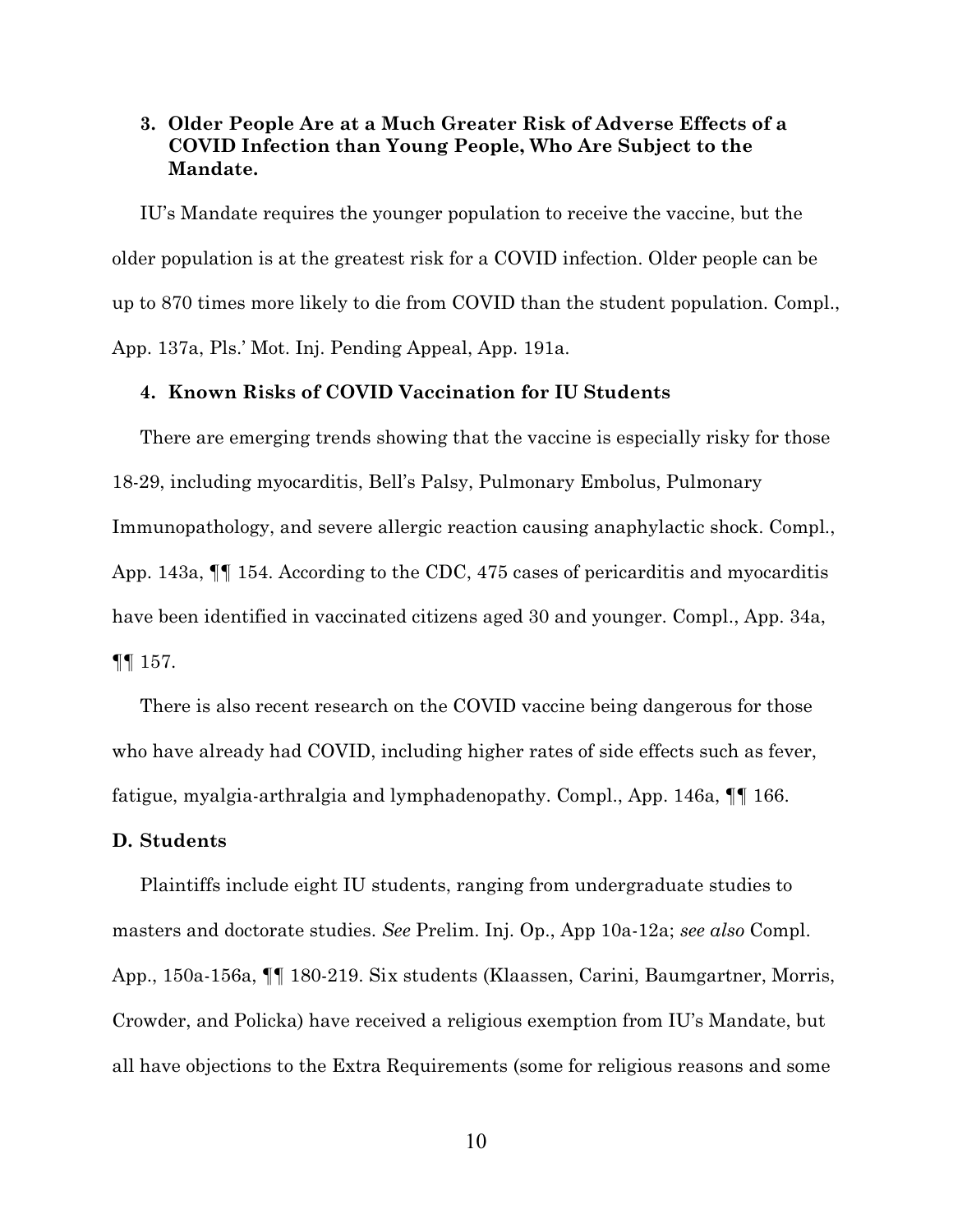### **3. Older People Are at a Much Greater Risk of Adverse Effects of a COVID Infection than Young People, Who Are Subject to the Mandate.**

IU's Mandate requires the younger population to receive the vaccine, but the older population is at the greatest risk for a COVID infection. Older people can be up to 870 times more likely to die from COVID than the student population. Compl., App. 137a, Pls.' Mot. Inj. Pending Appeal, App. 191a.

#### **4. Known Risks of COVID Vaccination for IU Students**

There are emerging trends showing that the vaccine is especially risky for those 18-29, including myocarditis, Bell's Palsy, Pulmonary Embolus, Pulmonary Immunopathology, and severe allergic reaction causing anaphylactic shock. Compl., App. 143a, ¶¶ 154. According to the CDC, 475 cases of pericarditis and myocarditis have been identified in vaccinated citizens aged 30 and younger. Compl., App. 34a, ¶¶ 157.

There is also recent research on the COVID vaccine being dangerous for those who have already had COVID, including higher rates of side effects such as fever, fatigue, myalgia-arthralgia and lymphadenopathy. Compl., App. 146a, ¶¶ 166.

#### **D. Students**

Plaintiffs include eight IU students, ranging from undergraduate studies to masters and doctorate studies. *See* Prelim. Inj. Op., App 10a-12a; *see also* Compl. App., 150a-156a, ¶¶ 180-219. Six students (Klaassen, Carini, Baumgartner, Morris, Crowder, and Policka) have received a religious exemption from IU's Mandate, but all have objections to the Extra Requirements (some for religious reasons and some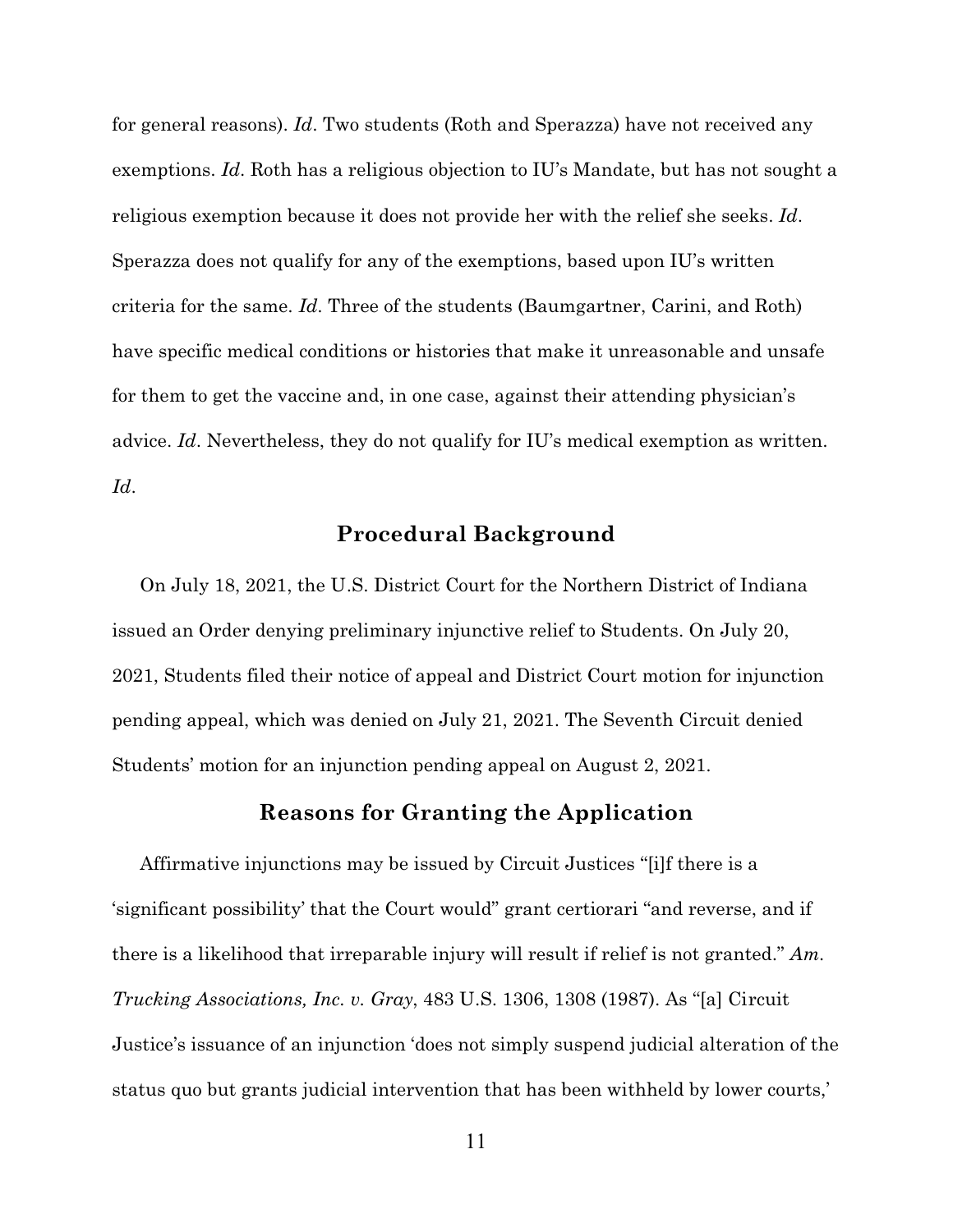for general reasons). *Id*. Two students (Roth and Sperazza) have not received any exemptions. *Id*. Roth has a religious objection to IU's Mandate, but has not sought a religious exemption because it does not provide her with the relief she seeks. *Id*. Sperazza does not qualify for any of the exemptions, based upon IU's written criteria for the same. *Id*. Three of the students (Baumgartner, Carini, and Roth) have specific medical conditions or histories that make it unreasonable and unsafe for them to get the vaccine and, in one case, against their attending physician's advice. *Id*. Nevertheless, they do not qualify for IU's medical exemption as written. *Id*.

# **Procedural Background**

On July 18, 2021, the U.S. District Court for the Northern District of Indiana issued an Order denying preliminary injunctive relief to Students. On July 20, 2021, Students filed their notice of appeal and District Court motion for injunction pending appeal, which was denied on July 21, 2021. The Seventh Circuit denied Students' motion for an injunction pending appeal on August 2, 2021.

## **Reasons for Granting the Application**

Affirmative injunctions may be issued by Circuit Justices "[i]f there is a 'significant possibility' that the Court would" grant certiorari "and reverse, and if there is a likelihood that irreparable injury will result if relief is not granted." *Am. Trucking Associations, Inc. v. Gray*, 483 U.S. 1306, 1308 (1987). As "[a] Circuit Justice's issuance of an injunction 'does not simply suspend judicial alteration of the status quo but grants judicial intervention that has been withheld by lower courts,'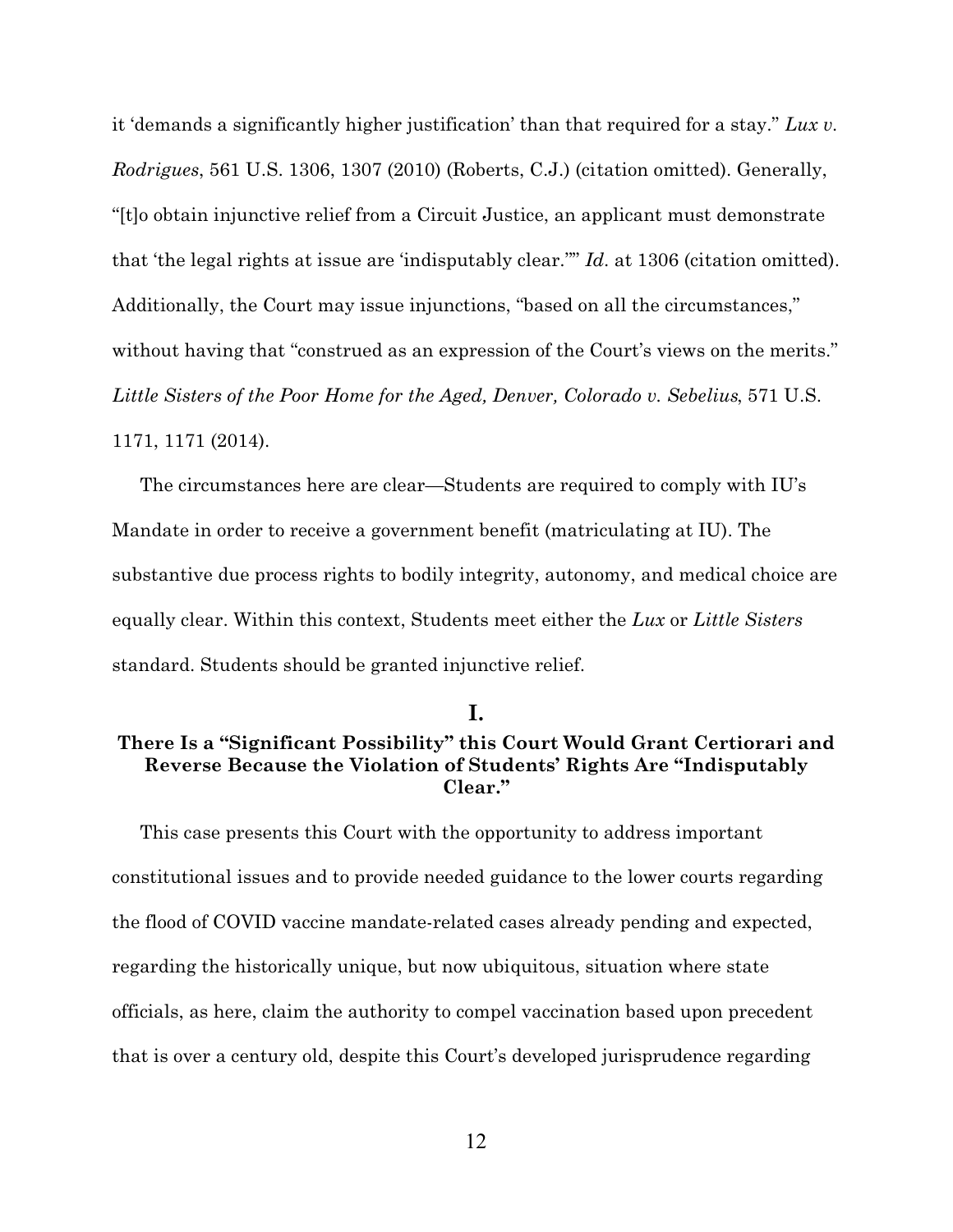it 'demands a significantly higher justification' than that required for a stay." *Lux v. Rodrigues*, 561 U.S. 1306, 1307 (2010) (Roberts, C.J.) (citation omitted). Generally, "[t]o obtain injunctive relief from a Circuit Justice, an applicant must demonstrate that 'the legal rights at issue are 'indisputably clear.''" *Id*. at 1306 (citation omitted). Additionally, the Court may issue injunctions, "based on all the circumstances," without having that "construed as an expression of the Court's views on the merits." *Little Sisters of the Poor Home for the Aged, Denver, Colorado v. Sebelius*, 571 U.S. 1171, 1171 (2014).

The circumstances here are clear—Students are required to comply with IU's Mandate in order to receive a government benefit (matriculating at IU). The substantive due process rights to bodily integrity, autonomy, and medical choice are equally clear. Within this context, Students meet either the *Lux* or *Little Sisters* standard. Students should be granted injunctive relief.

**I.**

## **There Is a "Significant Possibility" this Court Would Grant Certiorari and Reverse Because the Violation of Students' Rights Are "Indisputably Clear."**

This case presents this Court with the opportunity to address important constitutional issues and to provide needed guidance to the lower courts regarding the flood of COVID vaccine mandate-related cases already pending and expected, regarding the historically unique, but now ubiquitous, situation where state officials, as here, claim the authority to compel vaccination based upon precedent that is over a century old, despite this Court's developed jurisprudence regarding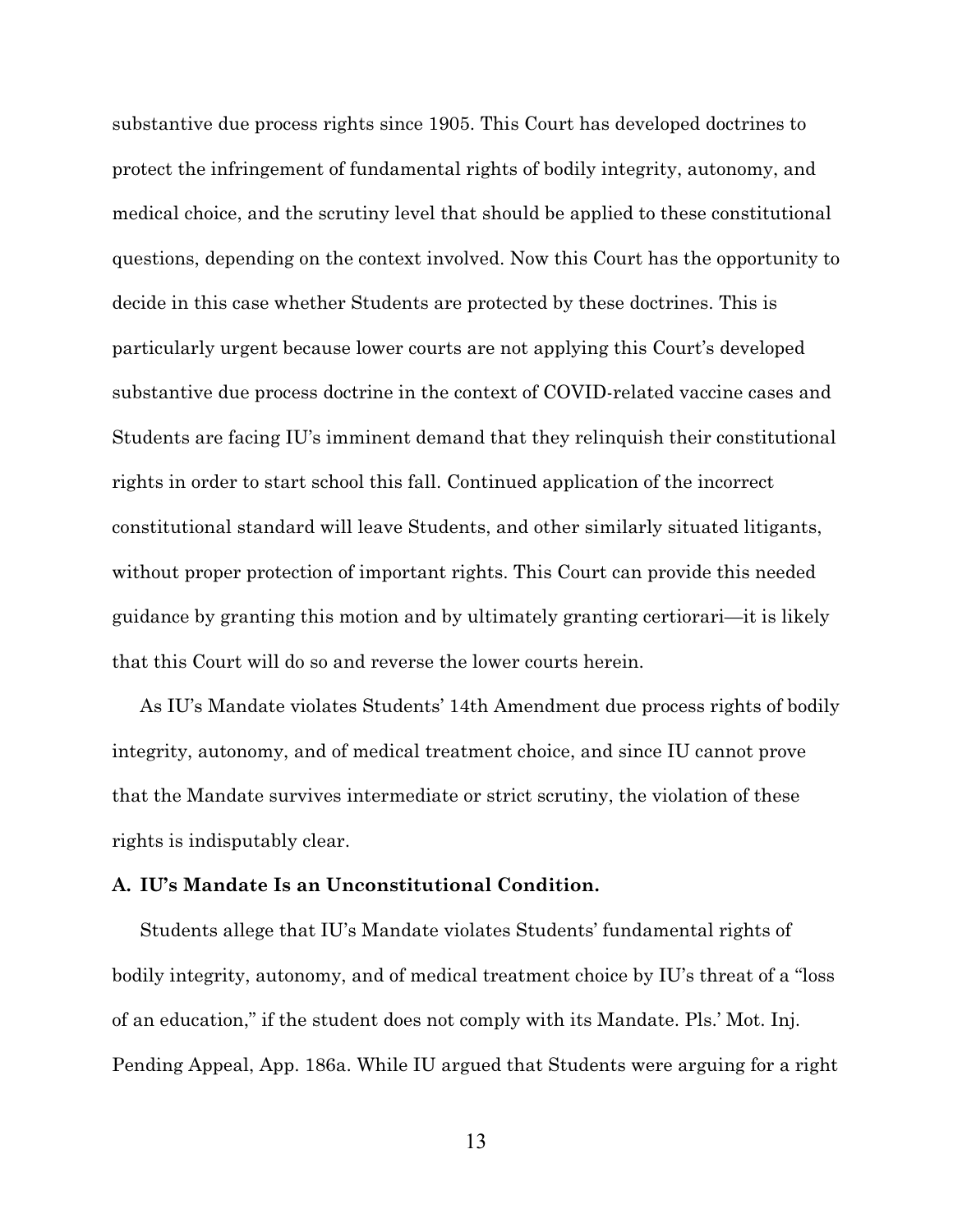substantive due process rights since 1905. This Court has developed doctrines to protect the infringement of fundamental rights of bodily integrity, autonomy, and medical choice, and the scrutiny level that should be applied to these constitutional questions, depending on the context involved. Now this Court has the opportunity to decide in this case whether Students are protected by these doctrines. This is particularly urgent because lower courts are not applying this Court's developed substantive due process doctrine in the context of COVID-related vaccine cases and Students are facing IU's imminent demand that they relinquish their constitutional rights in order to start school this fall. Continued application of the incorrect constitutional standard will leave Students, and other similarly situated litigants, without proper protection of important rights. This Court can provide this needed guidance by granting this motion and by ultimately granting certiorari—it is likely that this Court will do so and reverse the lower courts herein.

As IU's Mandate violates Students' 14th Amendment due process rights of bodily integrity, autonomy, and of medical treatment choice, and since IU cannot prove that the Mandate survives intermediate or strict scrutiny, the violation of these rights is indisputably clear.

#### **A. IU's Mandate Is an Unconstitutional Condition.**

Students allege that IU's Mandate violates Students' fundamental rights of bodily integrity, autonomy, and of medical treatment choice by IU's threat of a "loss of an education," if the student does not comply with its Mandate. Pls.' Mot. Inj. Pending Appeal, App. 186a. While IU argued that Students were arguing for a right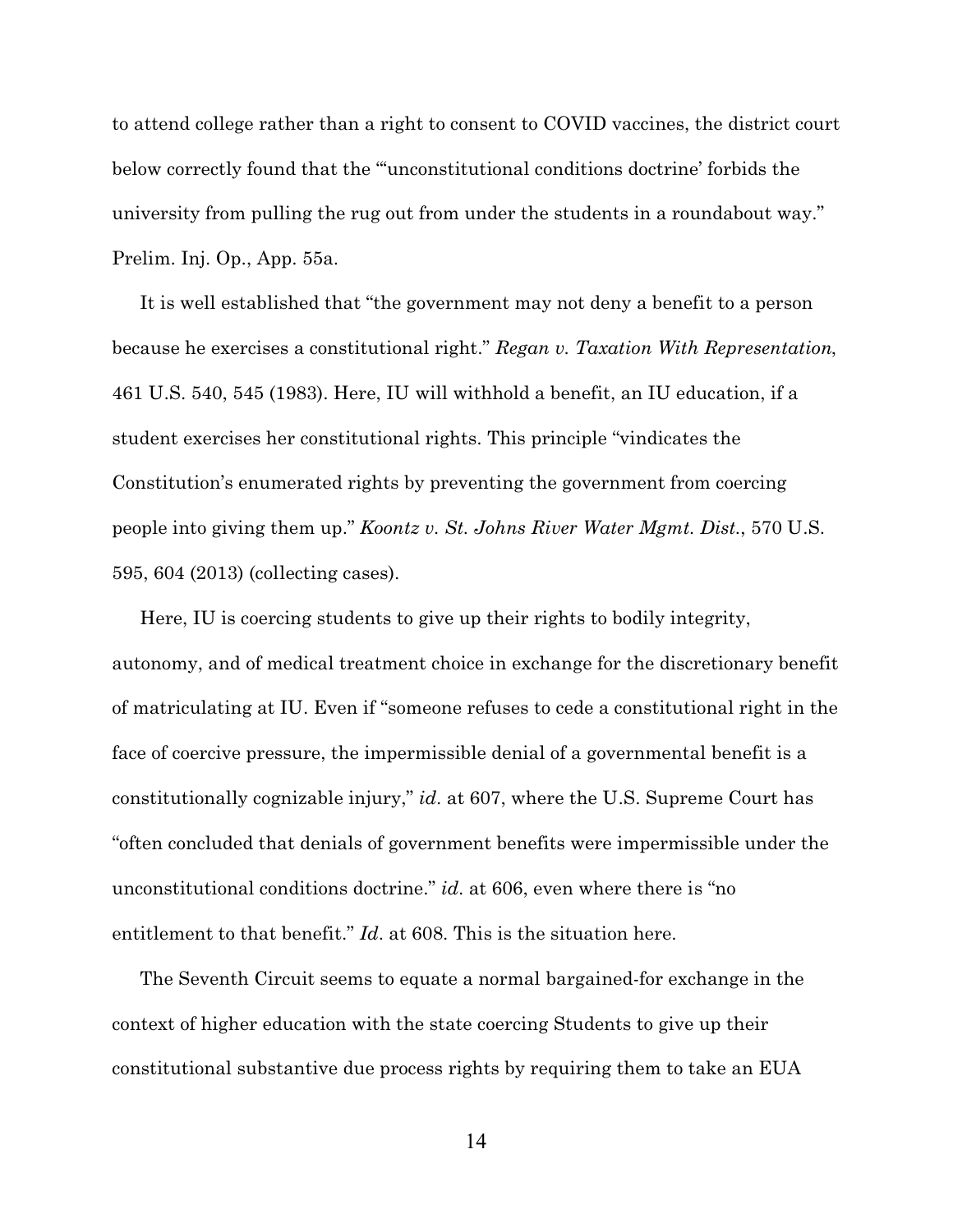to attend college rather than a right to consent to COVID vaccines, the district court below correctly found that the "'unconstitutional conditions doctrine' forbids the university from pulling the rug out from under the students in a roundabout way." Prelim. Inj. Op., App. 55a.

It is well established that "the government may not deny a benefit to a person because he exercises a constitutional right." *Regan v. Taxation With Representation*, 461 U.S. 540, 545 (1983). Here, IU will withhold a benefit, an IU education, if a student exercises her constitutional rights. This principle "vindicates the Constitution's enumerated rights by preventing the government from coercing people into giving them up." *Koontz v. St. Johns River Water Mgmt. Dist.*, 570 U.S. 595, 604 (2013) (collecting cases).

Here, IU is coercing students to give up their rights to bodily integrity, autonomy, and of medical treatment choice in exchange for the discretionary benefit of matriculating at IU. Even if "someone refuses to cede a constitutional right in the face of coercive pressure, the impermissible denial of a governmental benefit is a constitutionally cognizable injury," *id*. at 607, where the U.S. Supreme Court has "often concluded that denials of government benefits were impermissible under the unconstitutional conditions doctrine." *id*. at 606, even where there is "no entitlement to that benefit." *Id*. at 608. This is the situation here.

The Seventh Circuit seems to equate a normal bargained-for exchange in the context of higher education with the state coercing Students to give up their constitutional substantive due process rights by requiring them to take an EUA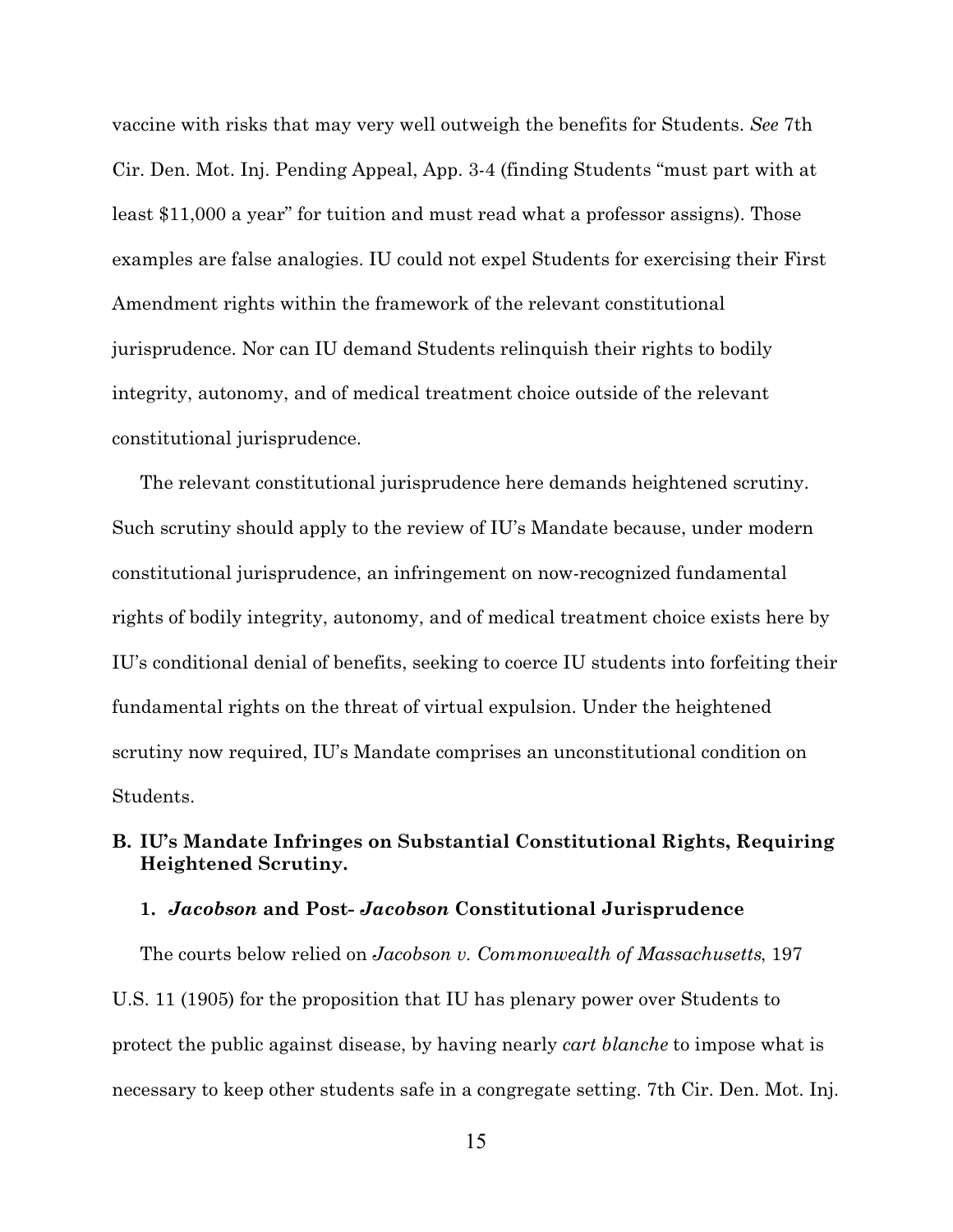vaccine with risks that may very well outweigh the benefits for Students. *See* 7th Cir. Den. Mot. Inj. Pending Appeal, App. 3-4 (finding Students "must part with at least \$11,000 a year" for tuition and must read what a professor assigns). Those examples are false analogies. IU could not expel Students for exercising their First Amendment rights within the framework of the relevant constitutional jurisprudence. Nor can IU demand Students relinquish their rights to bodily integrity, autonomy, and of medical treatment choice outside of the relevant constitutional jurisprudence.

The relevant constitutional jurisprudence here demands heightened scrutiny. Such scrutiny should apply to the review of IU's Mandate because, under modern constitutional jurisprudence, an infringement on now-recognized fundamental rights of bodily integrity, autonomy, and of medical treatment choice exists here by IU's conditional denial of benefits, seeking to coerce IU students into forfeiting their fundamental rights on the threat of virtual expulsion. Under the heightened scrutiny now required, IU's Mandate comprises an unconstitutional condition on Students.

## **B. IU's Mandate Infringes on Substantial Constitutional Rights, Requiring Heightened Scrutiny.**

#### **1.** *Jacobson* **and Post-** *Jacobson* **Constitutional Jurisprudence**

The courts below relied on *Jacobson v. Commonwealth of Massachusetts*, 197 U.S. 11 (1905) for the proposition that IU has plenary power over Students to protect the public against disease, by having nearly *cart blanche* to impose what is necessary to keep other students safe in a congregate setting. 7th Cir. Den. Mot. Inj.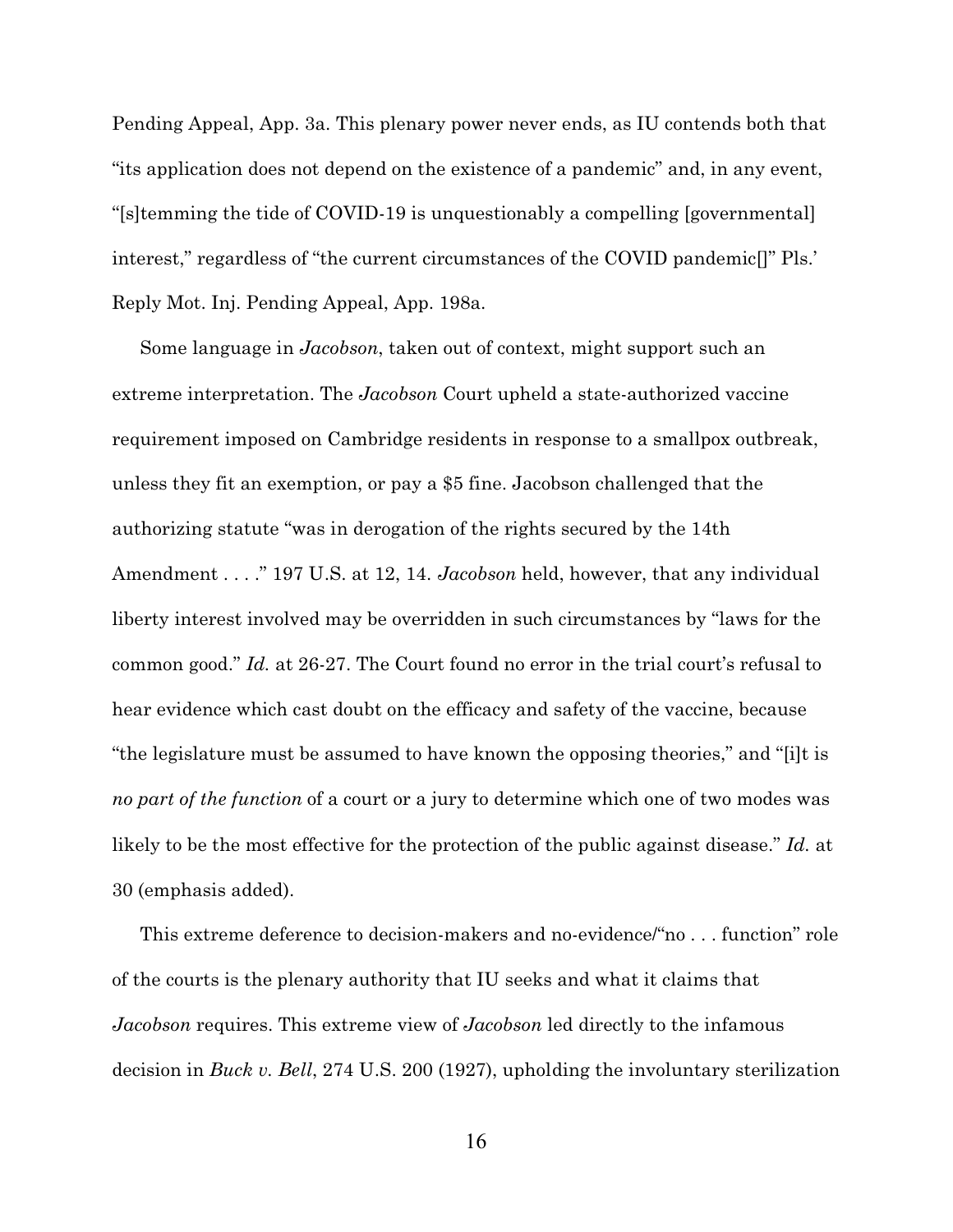Pending Appeal, App. 3a. This plenary power never ends, as IU contends both that "its application does not depend on the existence of a pandemic" and, in any event, "[s]temming the tide of COVID-19 is unquestionably a compelling [governmental] interest," regardless of "the current circumstances of the COVID pandemic[]" Pls.' Reply Mot. Inj. Pending Appeal, App. 198a.

Some language in *Jacobson*, taken out of context, might support such an extreme interpretation. The *Jacobson* Court upheld a state-authorized vaccine requirement imposed on Cambridge residents in response to a smallpox outbreak, unless they fit an exemption, or pay a \$5 fine. Jacobson challenged that the authorizing statute "was in derogation of the rights secured by the 14th Amendment . . . ." 197 U.S. at 12, 14. *Jacobson* held, however, that any individual liberty interest involved may be overridden in such circumstances by "laws for the common good." *Id.* at 26-27. The Court found no error in the trial court's refusal to hear evidence which cast doubt on the efficacy and safety of the vaccine, because "the legislature must be assumed to have known the opposing theories," and "[i]t is *no part of the function* of a court or a jury to determine which one of two modes was likely to be the most effective for the protection of the public against disease." *Id.* at 30 (emphasis added).

This extreme deference to decision-makers and no-evidence/"no . . . function" role of the courts is the plenary authority that IU seeks and what it claims that *Jacobson* requires. This extreme view of *Jacobson* led directly to the infamous decision in *Buck v. Bell*, 274 U.S. 200 (1927), upholding the involuntary sterilization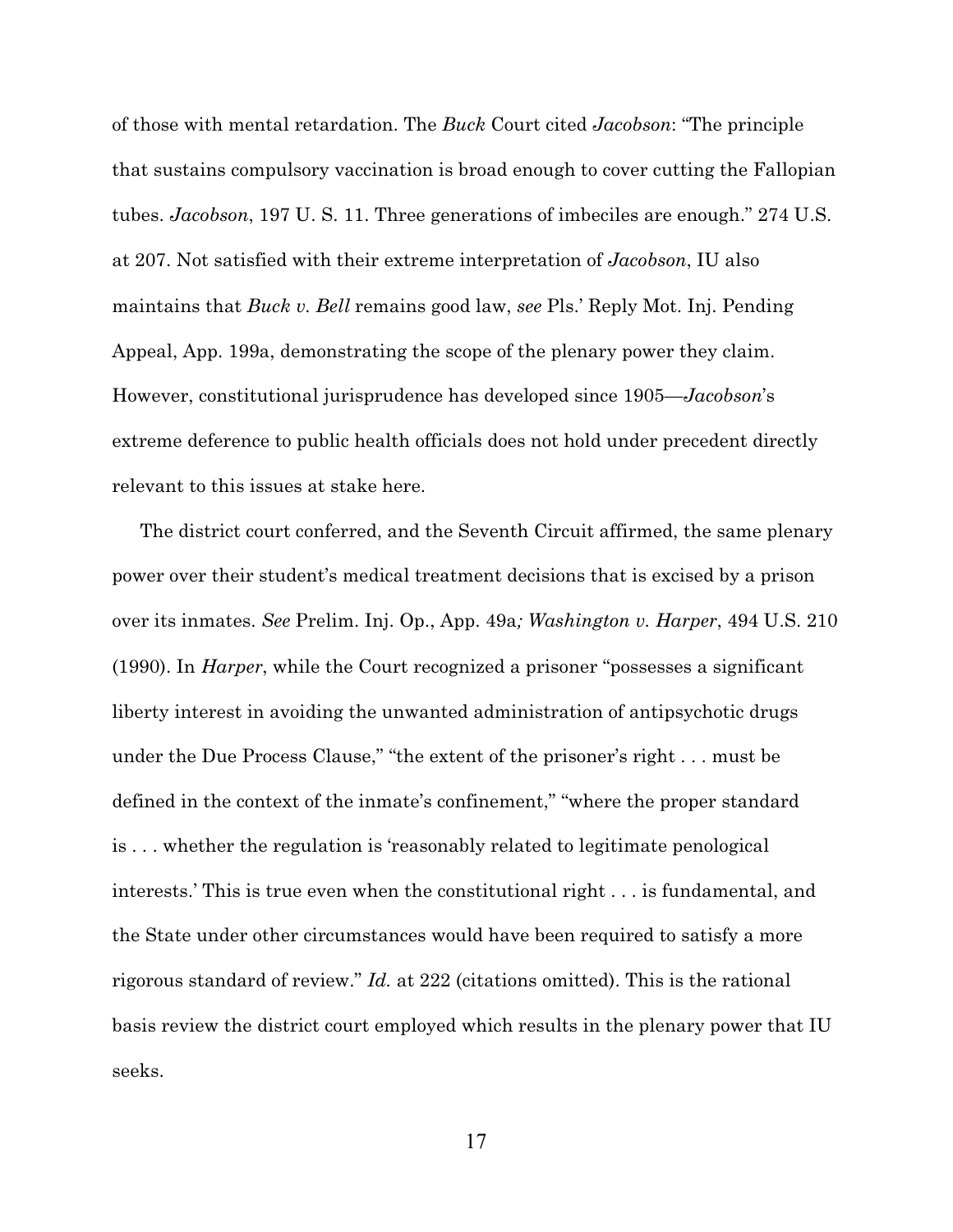of those with mental retardation. The *Buck* Court cited *Jacobson*: "The principle that sustains compulsory vaccination is broad enough to cover cutting the Fallopian tubes. *Jacobson*, 197 U. S. 11. Three generations of imbeciles are enough." 274 U.S. at 207. Not satisfied with their extreme interpretation of *Jacobson*, IU also maintains that *Buck v. Bell* remains good law, *see* Pls.' Reply Mot. Inj. Pending Appeal, App. 199a, demonstrating the scope of the plenary power they claim. However, constitutional jurisprudence has developed since 1905—*Jacobson*'s extreme deference to public health officials does not hold under precedent directly relevant to this issues at stake here.

The district court conferred, and the Seventh Circuit affirmed, the same plenary power over their student's medical treatment decisions that is excised by a prison over its inmates. *See* Prelim. Inj. Op., App. 49a*; Washington v. Harper*, 494 U.S. 210 (1990). In *Harper*, while the Court recognized a prisoner "possesses a significant liberty interest in avoiding the unwanted administration of antipsychotic drugs under the Due Process Clause," "the extent of the prisoner's right . . . must be defined in the context of the inmate's confinement," "where the proper standard is . . . whether the regulation is 'reasonably related to legitimate penological interests.' This is true even when the constitutional right . . . is fundamental, and the State under other circumstances would have been required to satisfy a more rigorous standard of review." *Id.* at 222 (citations omitted). This is the rational basis review the district court employed which results in the plenary power that IU seeks.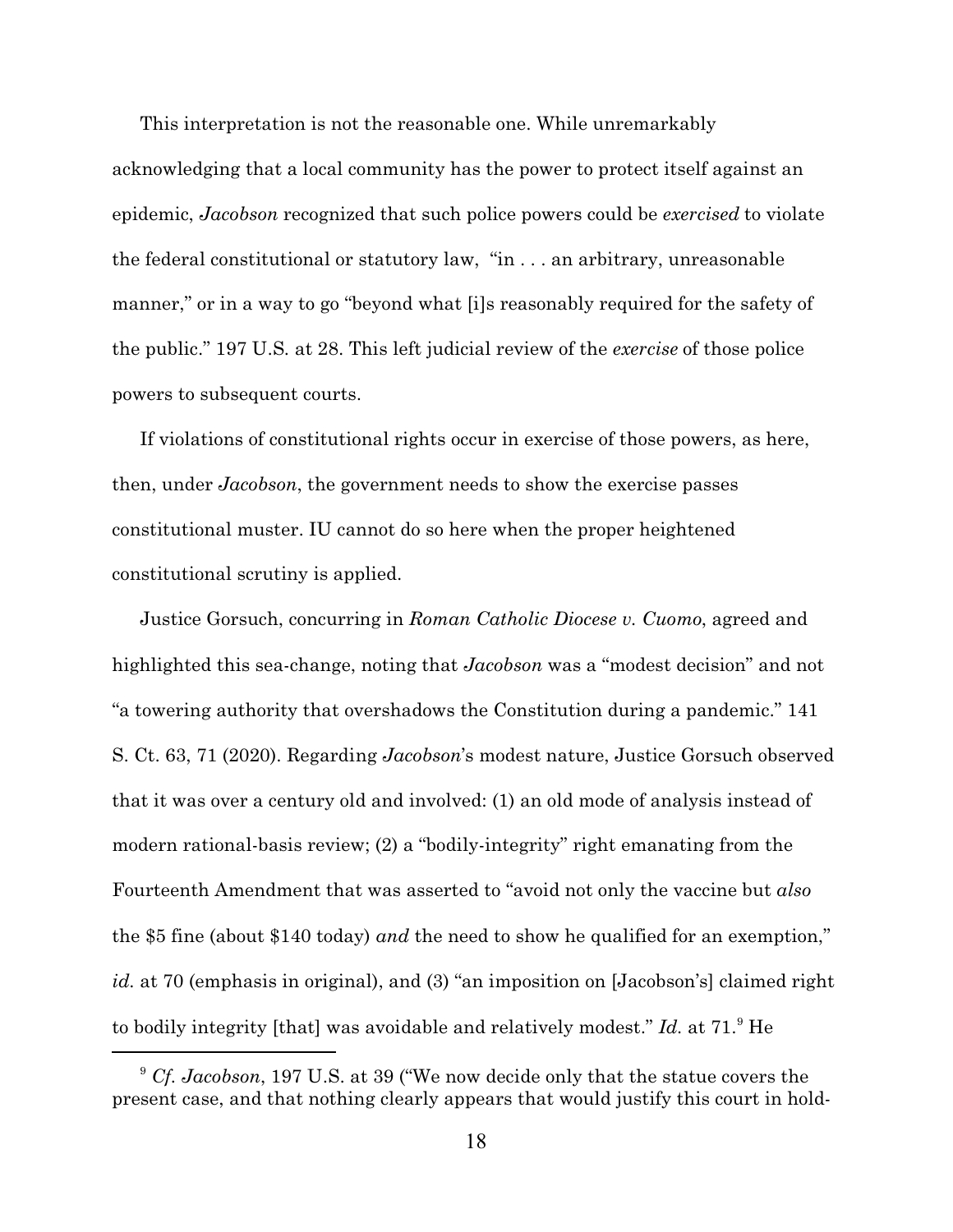This interpretation is not the reasonable one. While unremarkably acknowledging that a local community has the power to protect itself against an epidemic, *Jacobson* recognized that such police powers could be *exercised* to violate the federal constitutional or statutory law, "in . . . an arbitrary, unreasonable manner," or in a way to go "beyond what [i]s reasonably required for the safety of the public." 197 U.S*.* at 28. This left judicial review of the *exercise* of those police powers to subsequent courts.

If violations of constitutional rights occur in exercise of those powers, as here, then, under *Jacobson*, the government needs to show the exercise passes constitutional muster. IU cannot do so here when the proper heightened constitutional scrutiny is applied.

Justice Gorsuch, concurring in *Roman Catholic Diocese v. Cuomo*, agreed and highlighted this sea-change, noting that *Jacobson* was a "modest decision" and not "a towering authority that overshadows the Constitution during a pandemic." 141 S. Ct. 63, 71 (2020). Regarding *Jacobson*'s modest nature, Justice Gorsuch observed that it was over a century old and involved: (1) an old mode of analysis instead of modern rational-basis review; (2) a "bodily-integrity" right emanating from the Fourteenth Amendment that was asserted to "avoid not only the vaccine but *also* the \$5 fine (about \$140 today) *and* the need to show he qualified for an exemption," *id.* at 70 (emphasis in original), and (3) "an imposition on [Jacobson's] claimed right to bodily integrity [that] was avoidable and relatively modest." *Id.* at 71.<sup>9</sup> He

<sup>9</sup> *Cf. Jacobson*, 197 U.S. at 39 ("We now decide only that the statue covers the present case, and that nothing clearly appears that would justify this court in hold-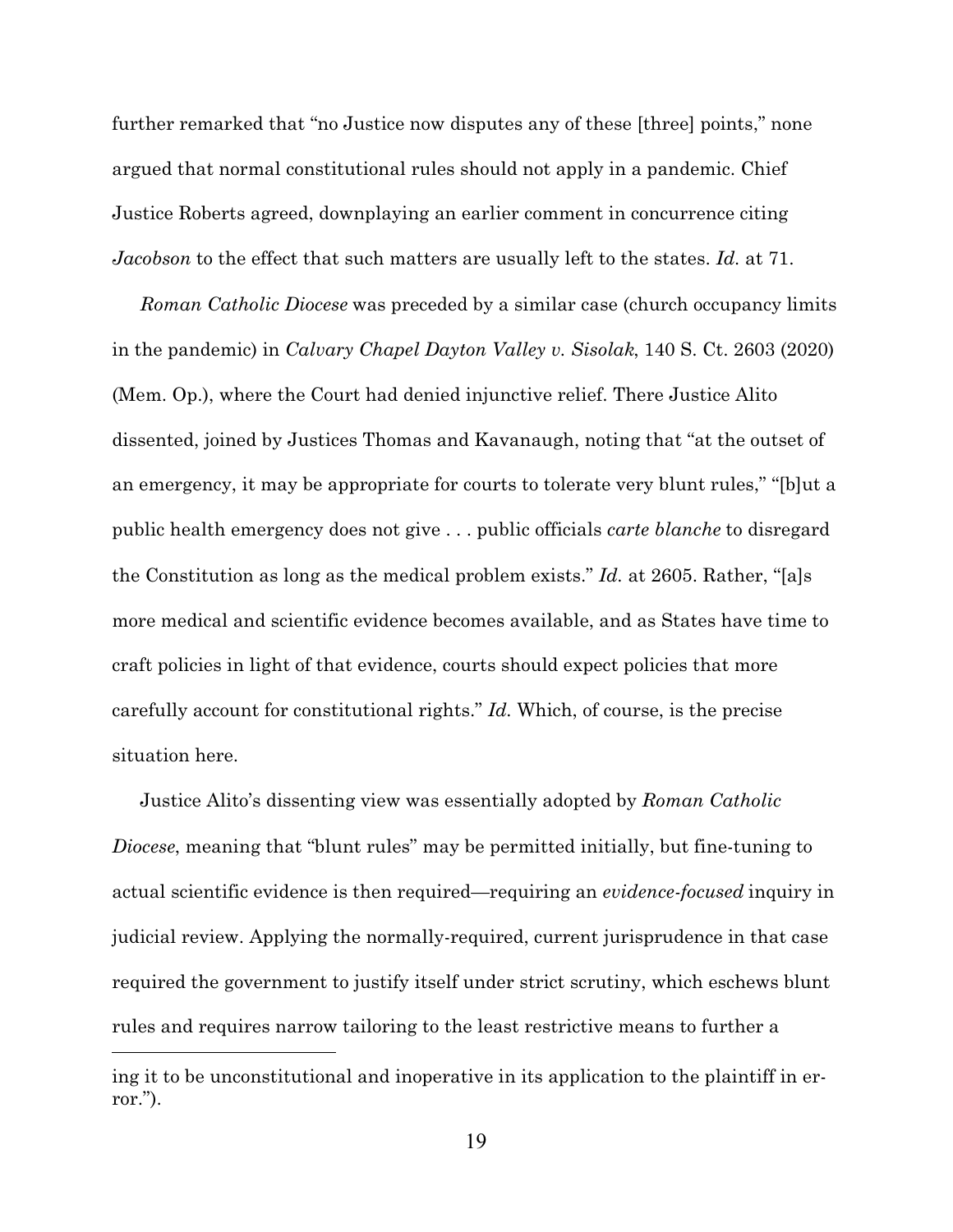further remarked that "no Justice now disputes any of these [three] points," none argued that normal constitutional rules should not apply in a pandemic. Chief Justice Roberts agreed, downplaying an earlier comment in concurrence citing *Jacobson* to the effect that such matters are usually left to the states. *Id.* at 71.

*Roman Catholic Diocese* was preceded by a similar case (church occupancy limits in the pandemic) in *Calvary Chapel Dayton Valley v. Sisolak*, 140 S. Ct. 2603 (2020) (Mem. Op.), where the Court had denied injunctive relief. There Justice Alito dissented, joined by Justices Thomas and Kavanaugh, noting that "at the outset of an emergency, it may be appropriate for courts to tolerate very blunt rules," "[b]ut a public health emergency does not give . . . public officials *carte blanche* to disregard the Constitution as long as the medical problem exists." *Id.* at 2605. Rather, "[a]s more medical and scientific evidence becomes available, and as States have time to craft policies in light of that evidence, courts should expect policies that more carefully account for constitutional rights." *Id.* Which, of course, is the precise situation here.

Justice Alito's dissenting view was essentially adopted by *Roman Catholic Diocese*, meaning that "blunt rules" may be permitted initially, but fine-tuning to actual scientific evidence is then required—requiring an *evidence-focused* inquiry in judicial review. Applying the normally-required, current jurisprudence in that case required the government to justify itself under strict scrutiny, which eschews blunt rules and requires narrow tailoring to the least restrictive means to further a

ing it to be unconstitutional and inoperative in its application to the plaintiff in error.").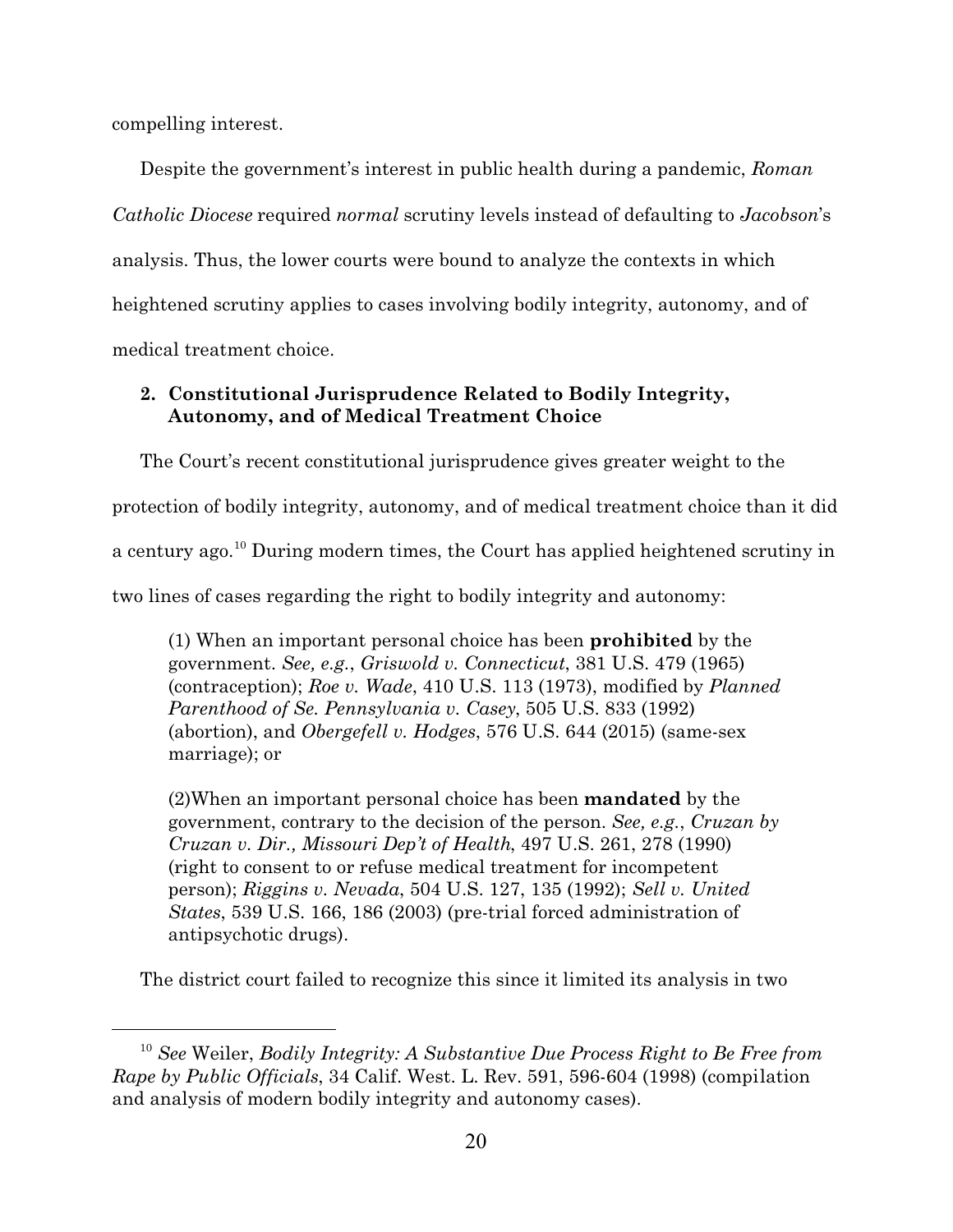compelling interest.

Despite the government's interest in public health during a pandemic, *Roman Catholic Diocese* required *normal* scrutiny levels instead of defaulting to *Jacobson*'s analysis. Thus, the lower courts were bound to analyze the contexts in which heightened scrutiny applies to cases involving bodily integrity, autonomy, and of medical treatment choice.

# **2. Constitutional Jurisprudence Related to Bodily Integrity, Autonomy, and of Medical Treatment Choice**

The Court's recent constitutional jurisprudence gives greater weight to the protection of bodily integrity, autonomy, and of medical treatment choice than it did a century ago.<sup>10</sup> During modern times, the Court has applied heightened scrutiny in two lines of cases regarding the right to bodily integrity and autonomy:

(1) When an important personal choice has been **prohibited** by the government. *See, e.g.*, *Griswold v. Connecticut*, 381 U.S. 479 (1965) (contraception); *Roe v. Wade*, 410 U.S. 113 (1973), modified by *Planned Parenthood of Se. Pennsylvania v. Casey*, 505 U.S. 833 (1992) (abortion), and *Obergefell v. Hodges*, 576 U.S. 644 (2015) (same-sex marriage); or

(2)When an important personal choice has been **mandated** by the government, contrary to the decision of the person. *See, e.g.*, *Cruzan by Cruzan v. Dir., Missouri Dep't of Health*, 497 U.S. 261, 278 (1990) (right to consent to or refuse medical treatment for incompetent person); *Riggins v. Nevada*, 504 U.S. 127, 135 (1992); *Sell v. United States*, 539 U.S. 166, 186 (2003) (pre-trial forced administration of antipsychotic drugs).

The district court failed to recognize this since it limited its analysis in two

<sup>10</sup> *See* Weiler, *Bodily Integrity: A Substantive Due Process Right to Be Free from Rape by Public Officials*, 34 Calif. West. L. Rev. 591, 596-604 (1998) (compilation and analysis of modern bodily integrity and autonomy cases).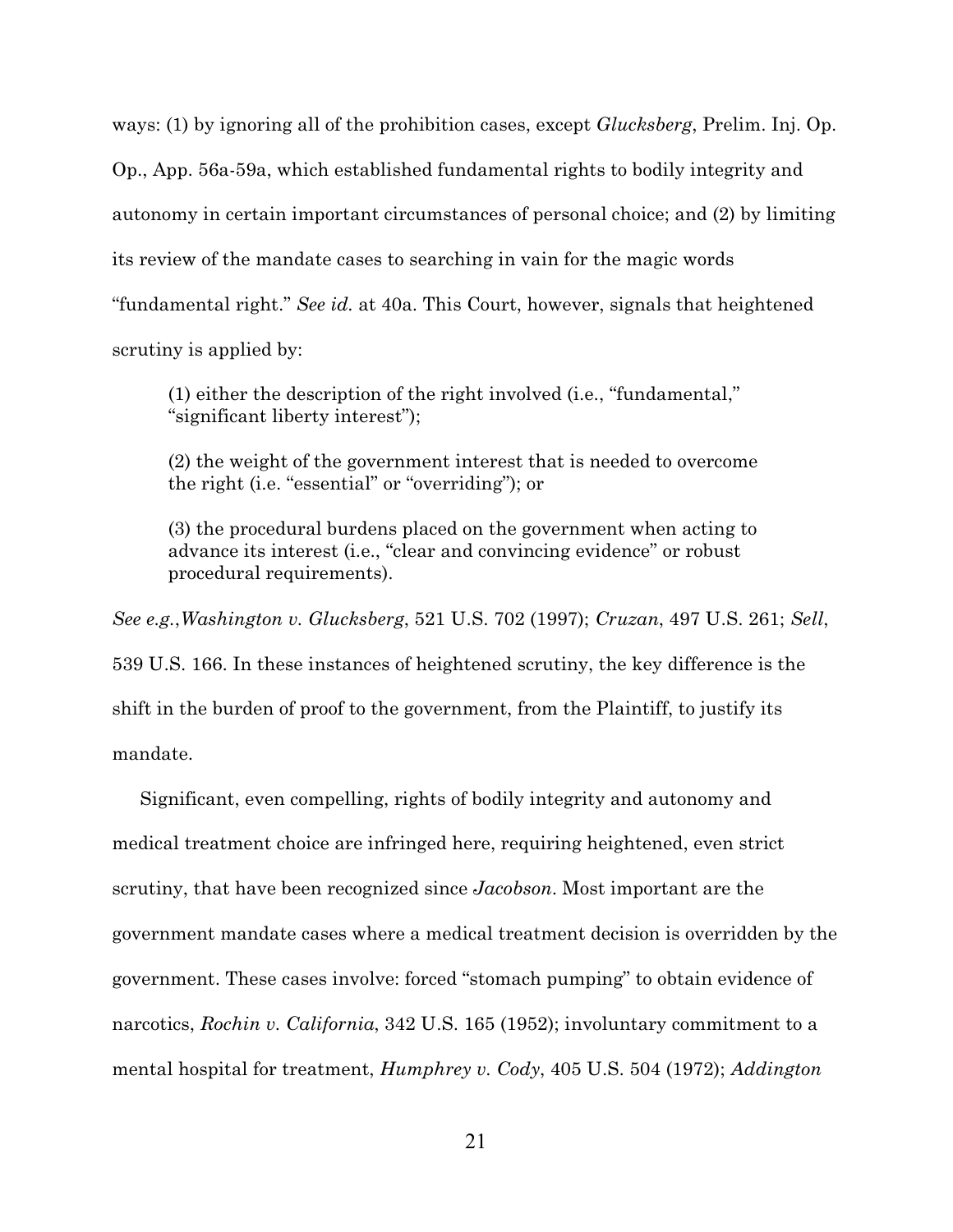ways: (1) by ignoring all of the prohibition cases, except *Glucksberg*, Prelim. Inj. Op. Op., App. 56a-59a, which established fundamental rights to bodily integrity and autonomy in certain important circumstances of personal choice; and (2) by limiting its review of the mandate cases to searching in vain for the magic words "fundamental right." *See id.* at 40a. This Court, however, signals that heightened scrutiny is applied by:

(1) either the description of the right involved (i.e., "fundamental," "significant liberty interest");

(2) the weight of the government interest that is needed to overcome the right (i.e. "essential" or "overriding"); or

(3) the procedural burdens placed on the government when acting to advance its interest (i.e., "clear and convincing evidence" or robust procedural requirements).

*See e.g.*,*Washington v. Glucksberg*, 521 U.S. 702 (1997); *Cruzan*, 497 U.S. 261; *Sell*,

539 U.S. 166. In these instances of heightened scrutiny, the key difference is the shift in the burden of proof to the government, from the Plaintiff, to justify its mandate.

Significant, even compelling, rights of bodily integrity and autonomy and medical treatment choice are infringed here, requiring heightened, even strict scrutiny, that have been recognized since *Jacobson*. Most important are the government mandate cases where a medical treatment decision is overridden by the government. These cases involve: forced "stomach pumping" to obtain evidence of narcotics, *Rochin v. California*, 342 U.S. 165 (1952); involuntary commitment to a mental hospital for treatment, *Humphrey v. Cody*, 405 U.S. 504 (1972); *Addington*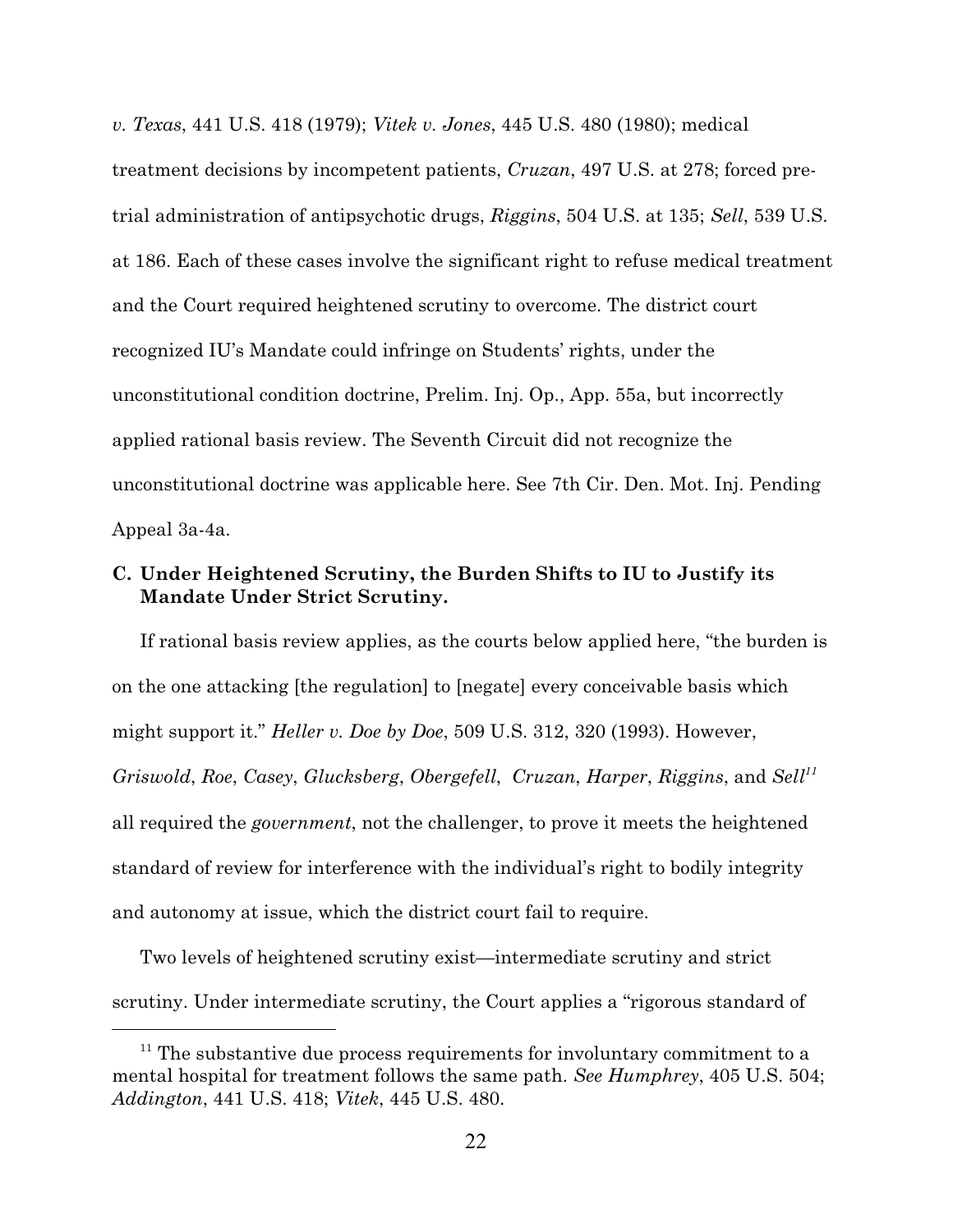*v. Texas*, 441 U.S. 418 (1979); *Vitek v. Jones*, 445 U.S. 480 (1980); medical treatment decisions by incompetent patients, *Cruzan*, 497 U.S. at 278; forced pretrial administration of antipsychotic drugs, *Riggins*, 504 U.S. at 135; *Sell*, 539 U.S. at 186. Each of these cases involve the significant right to refuse medical treatment and the Court required heightened scrutiny to overcome. The district court recognized IU's Mandate could infringe on Students' rights, under the unconstitutional condition doctrine, Prelim. Inj. Op., App. 55a, but incorrectly applied rational basis review. The Seventh Circuit did not recognize the unconstitutional doctrine was applicable here. *See* 7th Cir. Den. Mot. Inj. Pending Appeal 3a-4a.

## **C. Under Heightened Scrutiny, the Burden Shifts to IU to Justify its Mandate Under Strict Scrutiny.**

If rational basis review applies, as the courts below applied here, "the burden is on the one attacking [the regulation] to [negate] every conceivable basis which might support it." *Heller v. Doe by Doe*, 509 U.S. 312, 320 (1993). However, *Griswold*, *Roe*, *Casey*, *Glucksberg*, *Obergefell*, *Cruzan*, *Harper*, *Riggins*, and *Sell<sup>11</sup>* all required the *government*, not the challenger, to prove it meets the heightened standard of review for interference with the individual's right to bodily integrity and autonomy at issue, which the district court fail to require.

Two levels of heightened scrutiny exist—intermediate scrutiny and strict scrutiny. Under intermediate scrutiny, the Court applies a "rigorous standard of

<sup>&</sup>lt;sup>11</sup> The substantive due process requirements for involuntary commitment to a mental hospital for treatment follows the same path. *See Humphrey*, 405 U.S. 504; *Addington*, 441 U.S. 418; *Vitek*, 445 U.S. 480.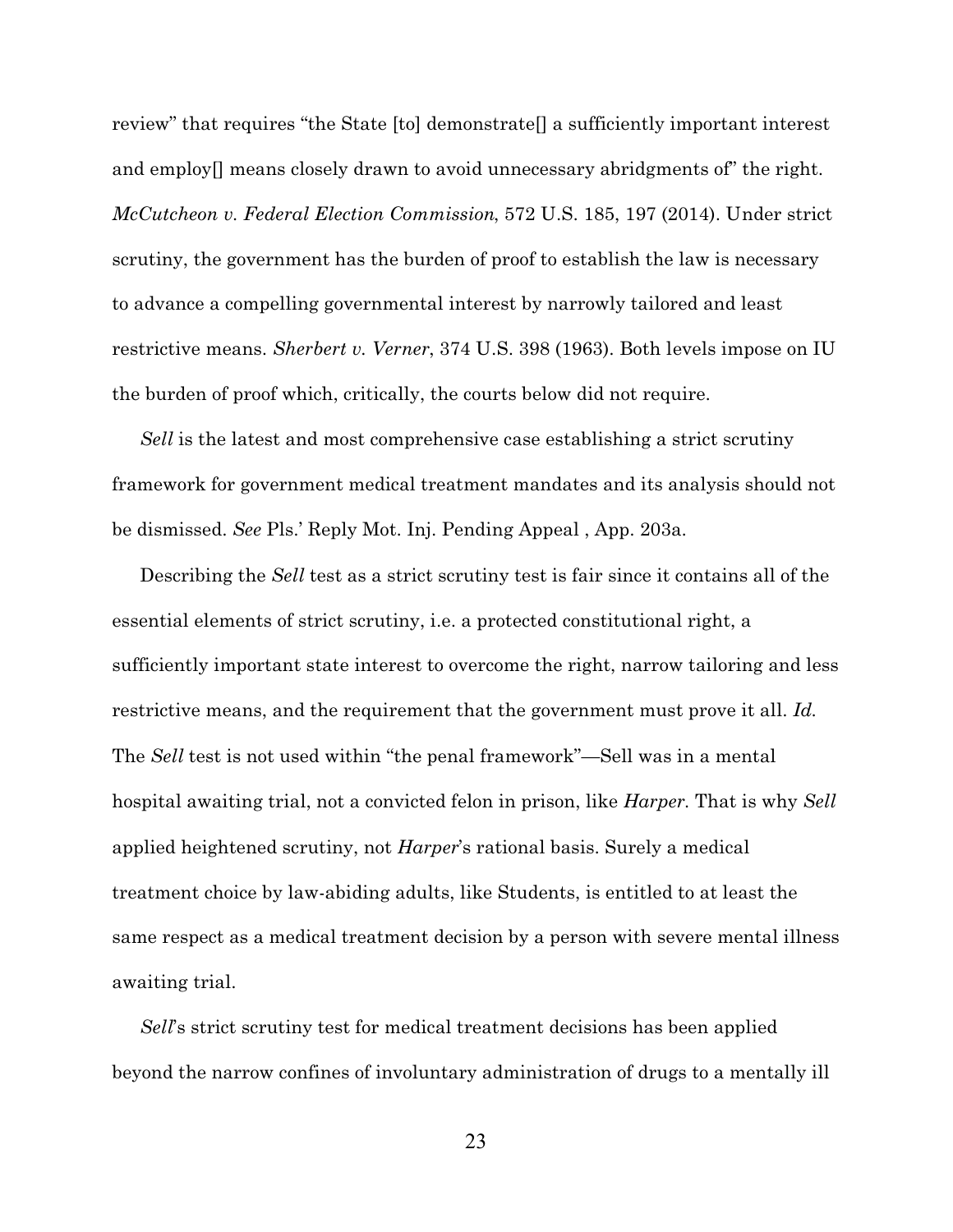review" that requires "the State [to] demonstrate[] a sufficiently important interest and employ[] means closely drawn to avoid unnecessary abridgments of" the right. *McCutcheon v. Federal Election Commission*, 572 U.S. 185, 197 (2014). Under strict scrutiny, the government has the burden of proof to establish the law is necessary to advance a compelling governmental interest by narrowly tailored and least restrictive means. *Sherbert v. Verner*, 374 U.S. 398 (1963). Both levels impose on IU the burden of proof which, critically, the courts below did not require.

*Sell* is the latest and most comprehensive case establishing a strict scrutiny framework for government medical treatment mandates and its analysis should not be dismissed. *See* Pls.' Reply Mot. Inj. Pending Appeal , App. 203a.

Describing the *Sell* test as a strict scrutiny test is fair since it contains all of the essential elements of strict scrutiny, i.e. a protected constitutional right, a sufficiently important state interest to overcome the right, narrow tailoring and less restrictive means, and the requirement that the government must prove it all. *Id.* The *Sell* test is not used within "the penal framework"—Sell was in a mental hospital awaiting trial, not a convicted felon in prison, like *Harper.* That is why *Sell* applied heightened scrutiny, not *Harper*'s rational basis. Surely a medical treatment choice by law-abiding adults, like Students, is entitled to at least the same respect as a medical treatment decision by a person with severe mental illness awaiting trial.

*Sell*'s strict scrutiny test for medical treatment decisions has been applied beyond the narrow confines of involuntary administration of drugs to a mentally ill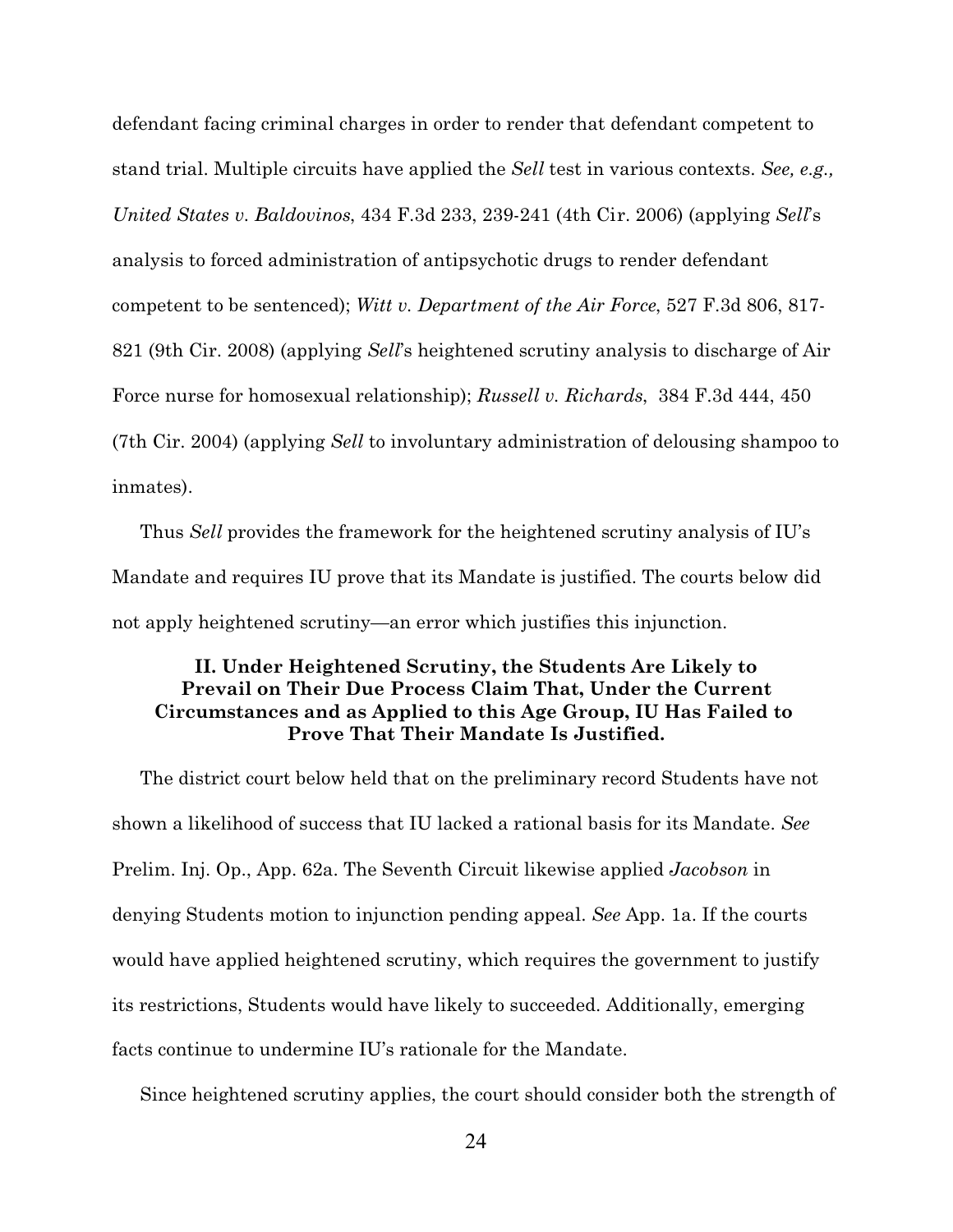defendant facing criminal charges in order to render that defendant competent to stand trial. Multiple circuits have applied the *Sell* test in various contexts. *See, e.g., United States v. Baldovinos*, 434 F.3d 233, 239-241 (4th Cir. 2006) (applying *Sell*'s analysis to forced administration of antipsychotic drugs to render defendant competent to be sentenced); *Witt v. Department of the Air Force*, 527 F.3d 806, 817- 821 (9th Cir. 2008) (applying *Sell*'s heightened scrutiny analysis to discharge of Air Force nurse for homosexual relationship); *Russell v. Richards*, 384 F.3d 444, 450 (7th Cir. 2004) (applying *Sell* to involuntary administration of delousing shampoo to inmates).

Thus *Sell* provides the framework for the heightened scrutiny analysis of IU's Mandate and requires IU prove that its Mandate is justified. The courts below did not apply heightened scrutiny—an error which justifies this injunction.

## **II. Under Heightened Scrutiny, the Students Are Likely to Prevail on Their Due Process Claim That, Under the Current Circumstances and as Applied to this Age Group, IU Has Failed to Prove That Their Mandate Is Justified.**

The district court below held that on the preliminary record Students have not shown a likelihood of success that IU lacked a rational basis for its Mandate. *See* Prelim. Inj. Op., App. 62a. The Seventh Circuit likewise applied *Jacobson* in denying Students motion to injunction pending appeal. *See* App. 1a. If the courts would have applied heightened scrutiny, which requires the government to justify its restrictions, Students would have likely to succeeded. Additionally, emerging facts continue to undermine IU's rationale for the Mandate.

Since heightened scrutiny applies, the court should consider both the strength of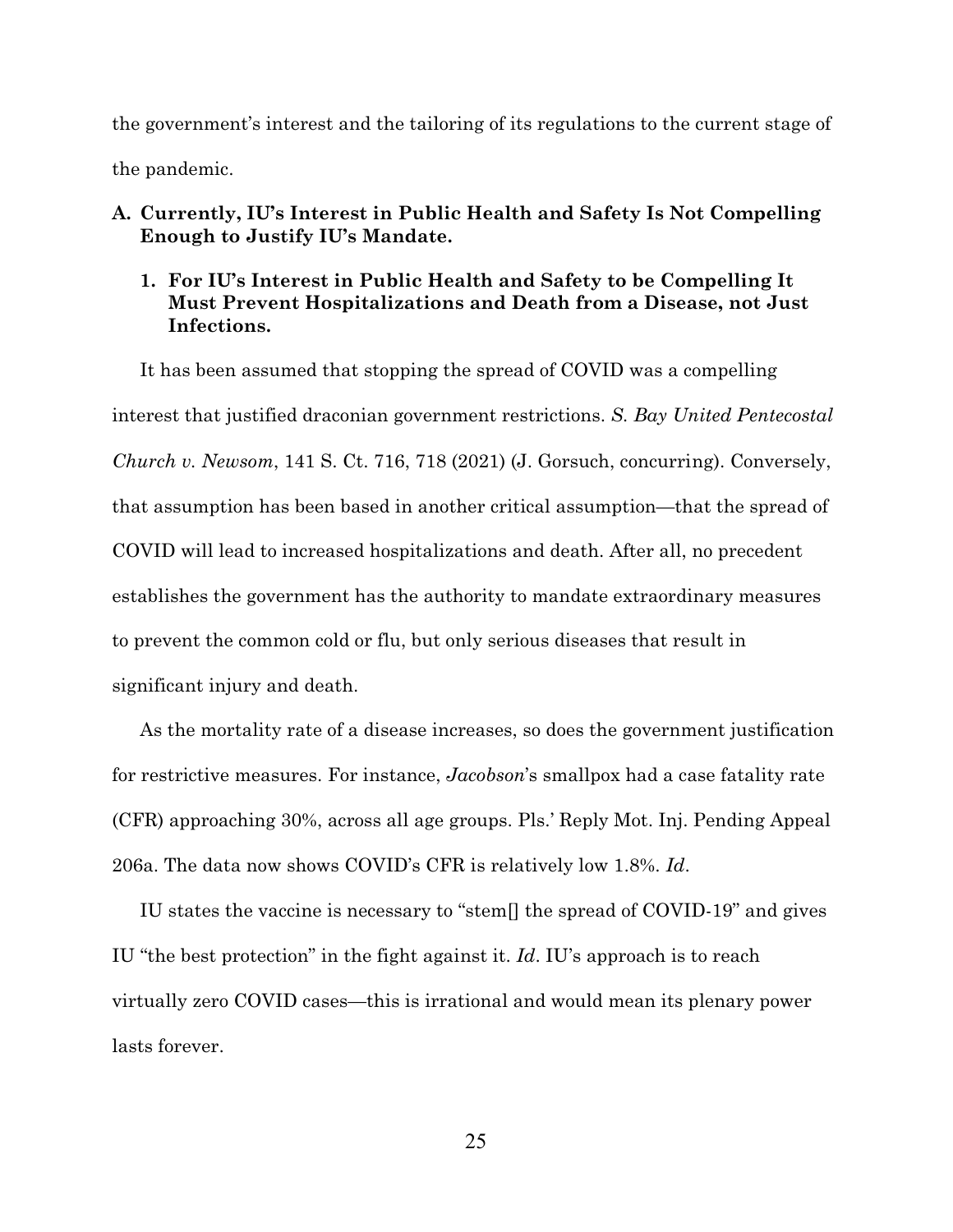the government's interest and the tailoring of its regulations to the current stage of the pandemic.

- **A. Currently, IU's Interest in Public Health and Safety Is Not Compelling Enough to Justify IU's Mandate.**
	- **1. For IU's Interest in Public Health and Safety to be Compelling It Must Prevent Hospitalizations and Death from a Disease, not Just Infections.**

It has been assumed that stopping the spread of COVID was a compelling interest that justified draconian government restrictions. *S. Bay United Pentecostal Church v. Newsom*, 141 S. Ct. 716, 718 (2021) (J. Gorsuch, concurring). Conversely, that assumption has been based in another critical assumption—that the spread of COVID will lead to increased hospitalizations and death. After all, no precedent establishes the government has the authority to mandate extraordinary measures to prevent the common cold or flu, but only serious diseases that result in significant injury and death.

As the mortality rate of a disease increases, so does the government justification for restrictive measures. For instance, *Jacobson*'s smallpox had a case fatality rate (CFR) approaching 30%, across all age groups. Pls.' Reply Mot. Inj. Pending Appeal 206a. The data now shows COVID's CFR is relatively low 1.8%. *Id*.

IU states the vaccine is necessary to "stem[] the spread of COVID-19" and gives IU "the best protection" in the fight against it. *Id*. IU's approach is to reach virtually zero COVID cases—this is irrational and would mean its plenary power lasts forever.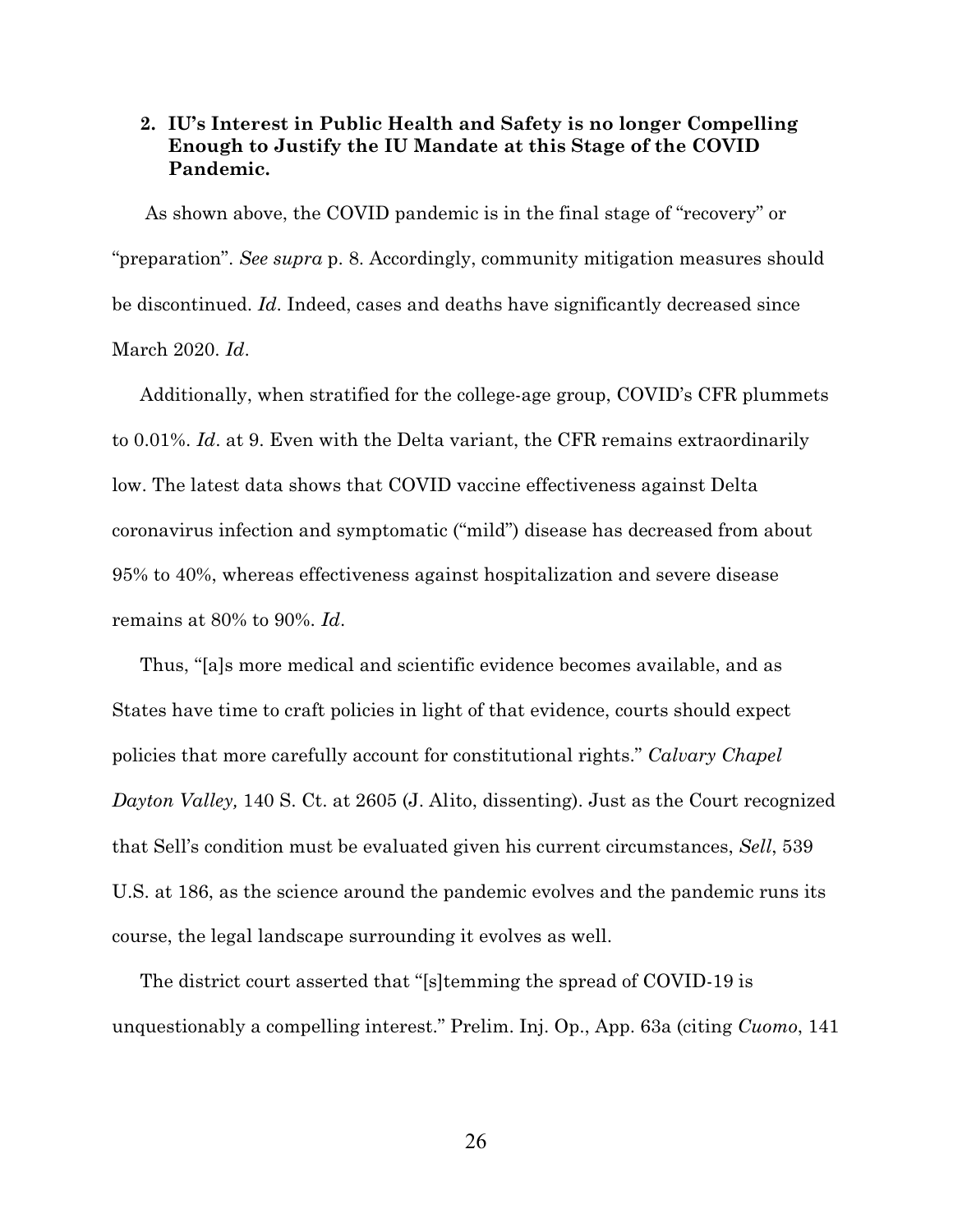## **2. IU's Interest in Public Health and Safety is no longer Compelling Enough to Justify the IU Mandate at this Stage of the COVID Pandemic.**

 As shown above, the COVID pandemic is in the final stage of "recovery" or "preparation". *See supra* p. 8. Accordingly, community mitigation measures should be discontinued. *Id*. Indeed, cases and deaths have significantly decreased since March 2020. *Id*.

Additionally, when stratified for the college-age group, COVID's CFR plummets to 0.01%. *Id*. at 9. Even with the Delta variant, the CFR remains extraordinarily low. The latest data shows that COVID vaccine effectiveness against Delta coronavirus infection and symptomatic ("mild") disease has decreased from about 95% to 40%, whereas effectiveness against hospitalization and severe disease remains at 80% to 90%. *Id*.

Thus, "[a]s more medical and scientific evidence becomes available, and as States have time to craft policies in light of that evidence, courts should expect policies that more carefully account for constitutional rights." *Calvary Chapel Dayton Valley,* 140 S. Ct. at 2605 (J. Alito, dissenting). Just as the Court recognized that Sell's condition must be evaluated given his current circumstances, *Sell*, 539 U.S. at 186, as the science around the pandemic evolves and the pandemic runs its course, the legal landscape surrounding it evolves as well.

The district court asserted that "[s]temming the spread of COVID-19 is unquestionably a compelling interest." Prelim. Inj. Op., App. 63a (citing *Cuomo*, 141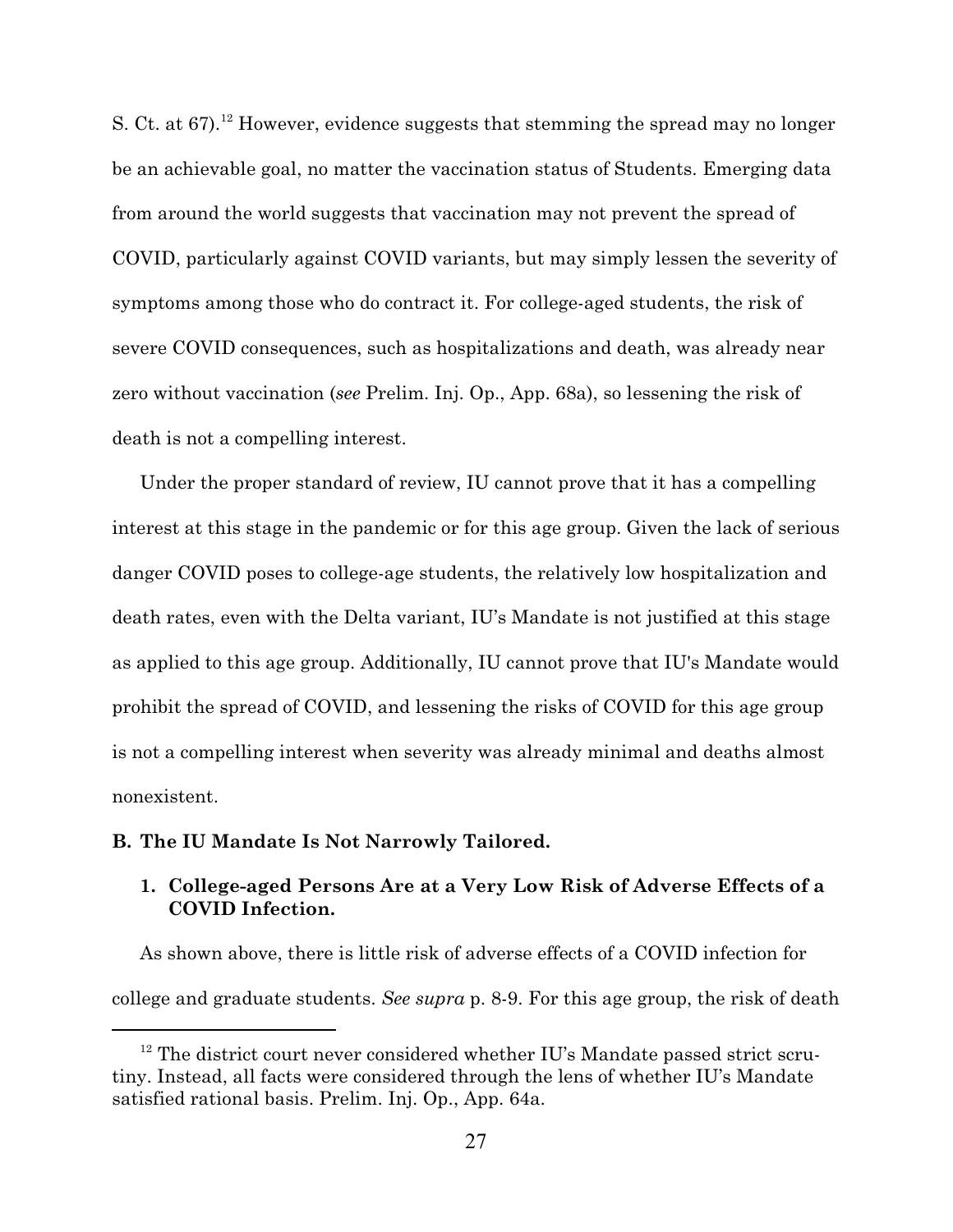S. Ct. at 67).<sup>12</sup> However, evidence suggests that stemming the spread may no longer be an achievable goal, no matter the vaccination status of Students. Emerging data from around the world suggests that vaccination may not prevent the spread of COVID, particularly against COVID variants, but may simply lessen the severity of symptoms among those who do contract it. For college-aged students, the risk of severe COVID consequences, such as hospitalizations and death, was already near zero without vaccination (*see* Prelim. Inj. Op., App. 68a), so lessening the risk of death is not a compelling interest.

Under the proper standard of review, IU cannot prove that it has a compelling interest at this stage in the pandemic or for this age group. Given the lack of serious danger COVID poses to college-age students, the relatively low hospitalization and death rates, even with the Delta variant, IU's Mandate is not justified at this stage as applied to this age group. Additionally, IU cannot prove that IU's Mandate would prohibit the spread of COVID, and lessening the risks of COVID for this age group is not a compelling interest when severity was already minimal and deaths almost nonexistent.

#### **B. The IU Mandate Is Not Narrowly Tailored.**

## **1. College-aged Persons Are at a Very Low Risk of Adverse Effects of a COVID Infection.**

As shown above, there is little risk of adverse effects of a COVID infection for college and graduate students. *See supra* p. 8-9. For this age group, the risk of death

<sup>&</sup>lt;sup>12</sup> The district court never considered whether IU's Mandate passed strict scrutiny. Instead, all facts were considered through the lens of whether IU's Mandate satisfied rational basis. Prelim. Inj. Op., App. 64a.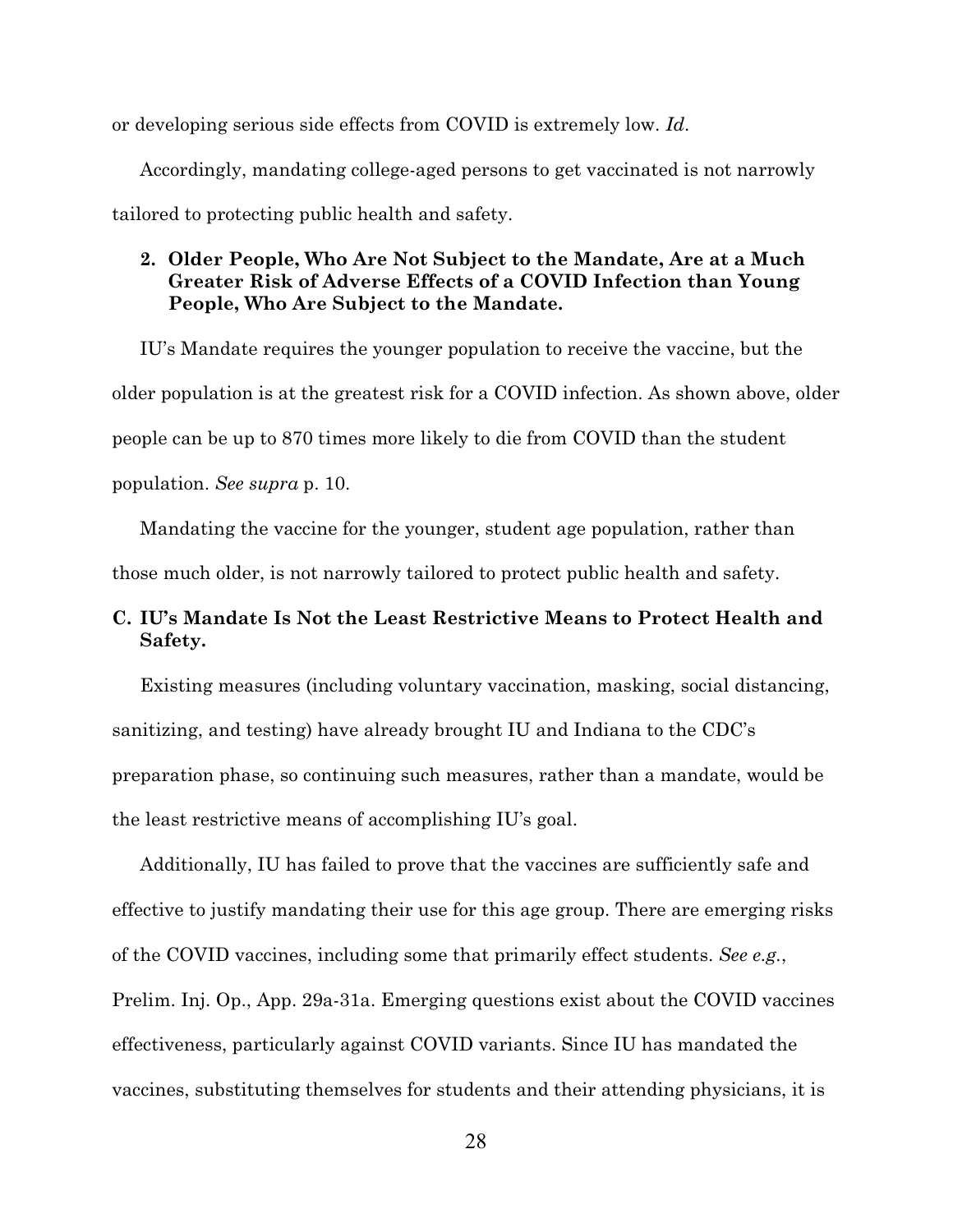or developing serious side effects from COVID is extremely low. *Id*.

Accordingly, mandating college-aged persons to get vaccinated is not narrowly tailored to protecting public health and safety.

### **2. Older People, Who Are Not Subject to the Mandate, Are at a Much Greater Risk of Adverse Effects of a COVID Infection than Young People, Who Are Subject to the Mandate.**

IU's Mandate requires the younger population to receive the vaccine, but the older population is at the greatest risk for a COVID infection. As shown above, older people can be up to 870 times more likely to die from COVID than the student population. *See supra* p. 10.

Mandating the vaccine for the younger, student age population, rather than those much older, is not narrowly tailored to protect public health and safety.

# **C. IU's Mandate Is Not the Least Restrictive Means to Protect Health and Safety.**

Existing measures (including voluntary vaccination, masking, social distancing, sanitizing, and testing) have already brought IU and Indiana to the CDC's preparation phase, so continuing such measures, rather than a mandate, would be the least restrictive means of accomplishing IU's goal.

Additionally, IU has failed to prove that the vaccines are sufficiently safe and effective to justify mandating their use for this age group. There are emerging risks of the COVID vaccines, including some that primarily effect students. *See e.g.*, Prelim. Inj. Op., App. 29a-31a. Emerging questions exist about the COVID vaccines effectiveness, particularly against COVID variants. Since IU has mandated the vaccines, substituting themselves for students and their attending physicians, it is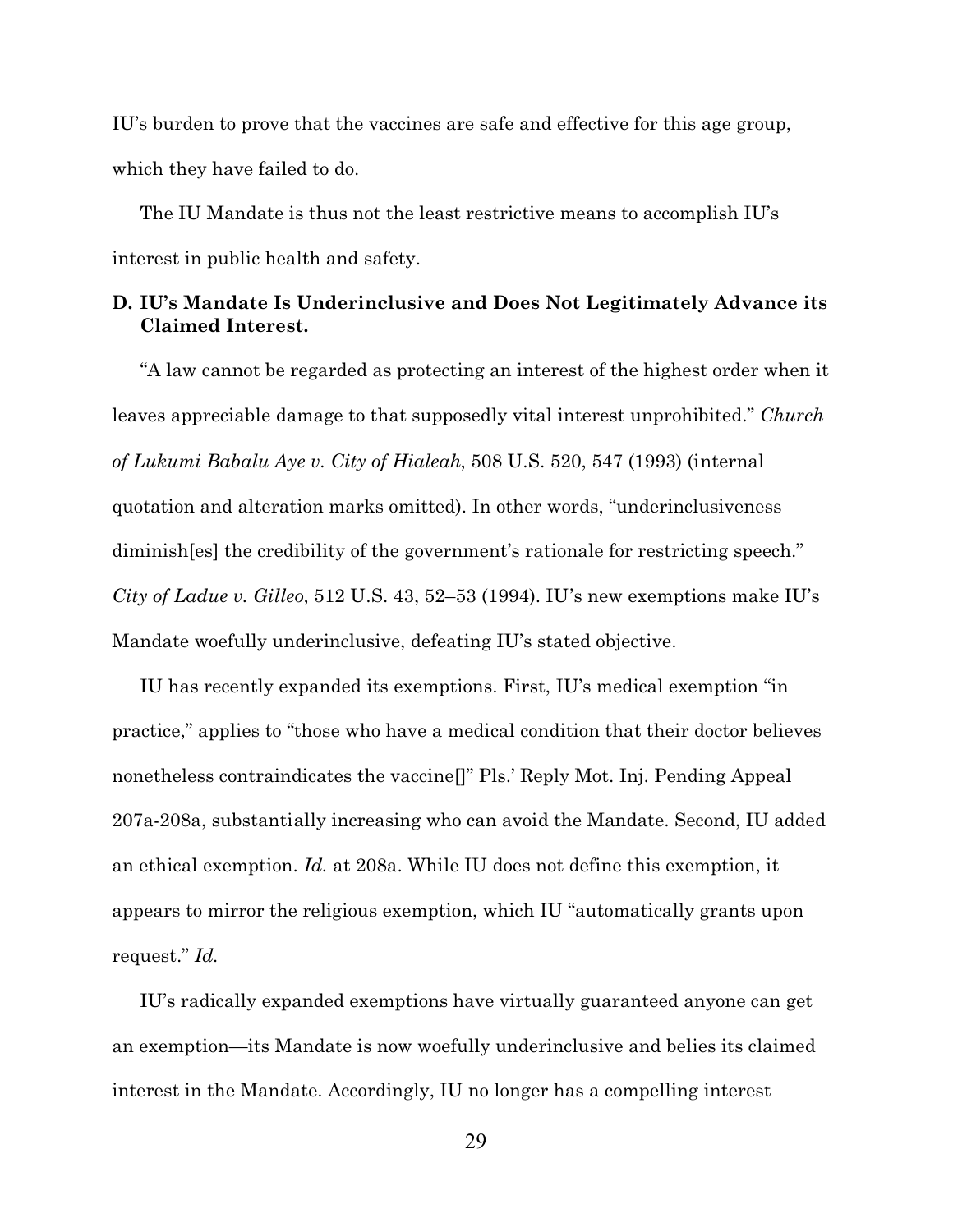IU's burden to prove that the vaccines are safe and effective for this age group, which they have failed to do.

The IU Mandate is thus not the least restrictive means to accomplish IU's interest in public health and safety.

### **D. IU's Mandate Is Underinclusive and Does Not Legitimately Advance its Claimed Interest.**

"A law cannot be regarded as protecting an interest of the highest order when it leaves appreciable damage to that supposedly vital interest unprohibited." *Church of Lukumi Babalu Aye v. City of Hialeah*, 508 U.S. 520, 547 (1993) (internal quotation and alteration marks omitted). In other words, "underinclusiveness diminish[es] the credibility of the government's rationale for restricting speech." *City of Ladue v. Gilleo*, 512 U.S. 43, 52–53 (1994). IU's new exemptions make IU's Mandate woefully underinclusive, defeating IU's stated objective.

IU has recently expanded its exemptions. First, IU's medical exemption "in practice," applies to "those who have a medical condition that their doctor believes nonetheless contraindicates the vaccine[]" Pls.' Reply Mot. Inj. Pending Appeal 207a-208a, substantially increasing who can avoid the Mandate. Second, IU added an ethical exemption. *Id.* at 208a. While IU does not define this exemption, it appears to mirror the religious exemption, which IU "automatically grants upon request." *Id.*

IU's radically expanded exemptions have virtually guaranteed anyone can get an exemption—its Mandate is now woefully underinclusive and belies its claimed interest in the Mandate. Accordingly, IU no longer has a compelling interest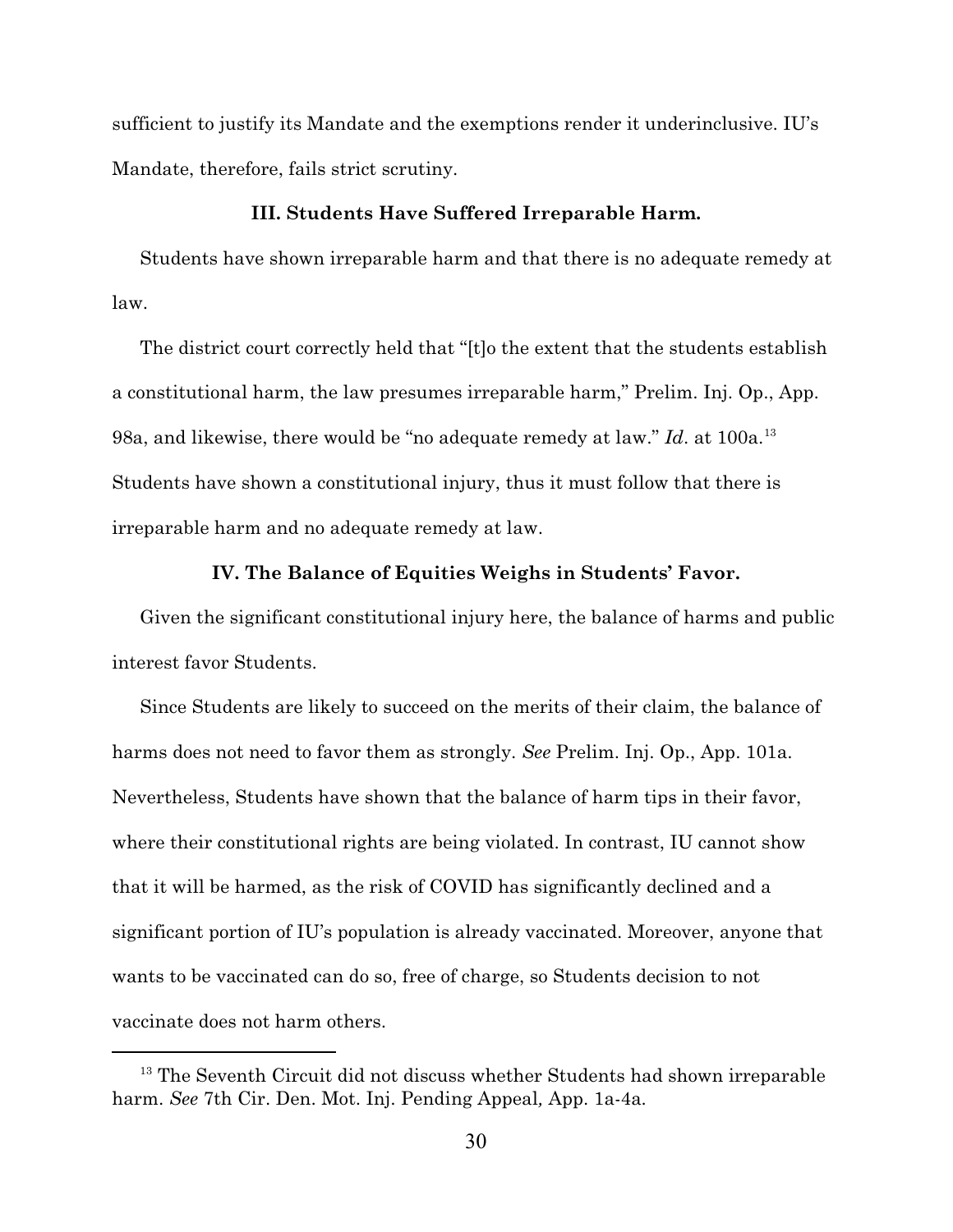sufficient to justify its Mandate and the exemptions render it underinclusive. IU's Mandate, therefore, fails strict scrutiny.

#### **III. Students Have Suffered Irreparable Harm.**

Students have shown irreparable harm and that there is no adequate remedy at law.

The district court correctly held that "[t]o the extent that the students establish a constitutional harm, the law presumes irreparable harm," Prelim. Inj. Op., App. 98a, and likewise, there would be "no adequate remedy at law." *Id.* at 100a.<sup>13</sup> Students have shown a constitutional injury, thus it must follow that there is irreparable harm and no adequate remedy at law.

#### **IV. The Balance of Equities Weighs in Students' Favor.**

Given the significant constitutional injury here, the balance of harms and public interest favor Students.

Since Students are likely to succeed on the merits of their claim, the balance of harms does not need to favor them as strongly. *See* Prelim. Inj. Op., App. 101a. Nevertheless, Students have shown that the balance of harm tips in their favor, where their constitutional rights are being violated. In contrast, IU cannot show that it will be harmed, as the risk of COVID has significantly declined and a significant portion of IU's population is already vaccinated. Moreover, anyone that wants to be vaccinated can do so, free of charge, so Students decision to not vaccinate does not harm others.

<sup>&</sup>lt;sup>13</sup> The Seventh Circuit did not discuss whether Students had shown irreparable harm. *See* 7th Cir. Den. Mot. Inj. Pending Appeal*,* App. 1a-4a*.*